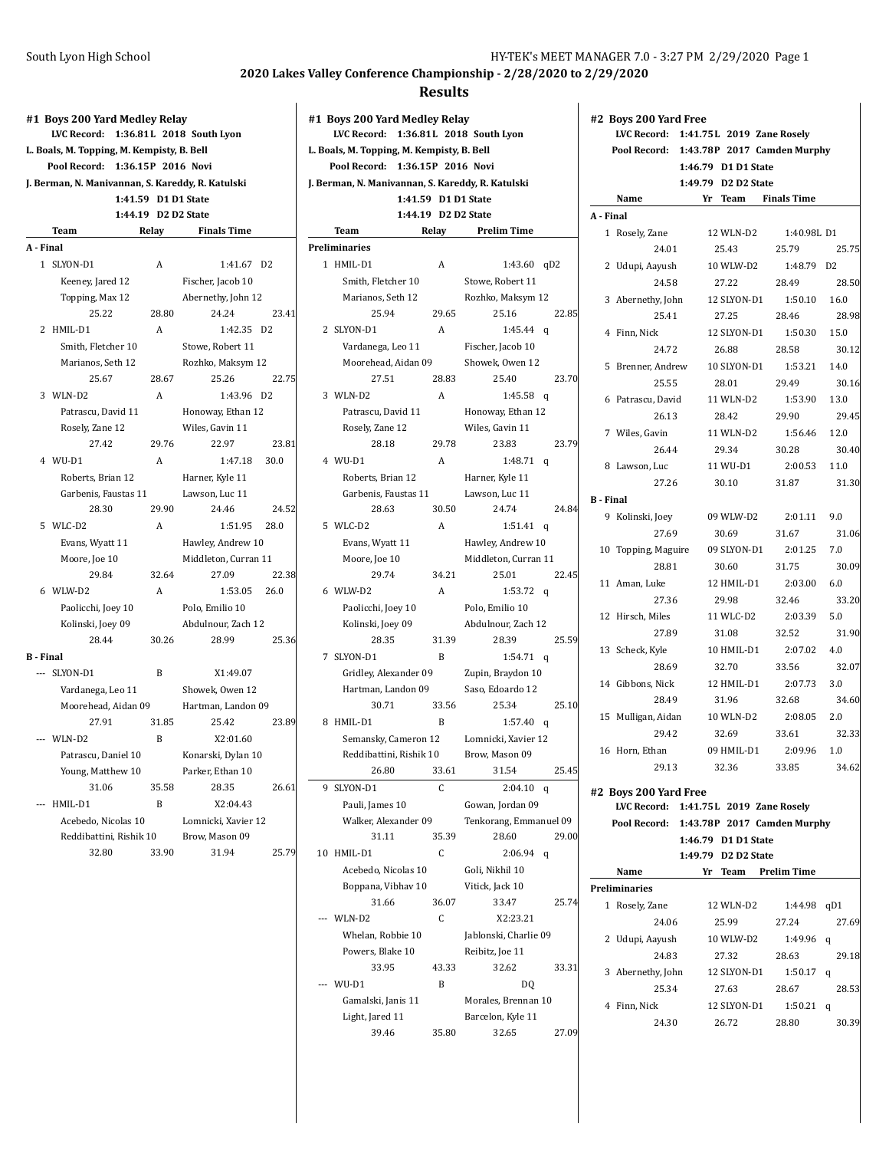|                  | #1 Boys 200 Yard Medley Relay                     |                     |                          |                |
|------------------|---------------------------------------------------|---------------------|--------------------------|----------------|
|                  | LVC Record:                                       |                     | 1:36.81L 2018 South Lyon |                |
|                  | L. Boals, M. Topping, M. Kempisty, B. Bell        |                     |                          |                |
|                  | Pool Record:                                      | 1:36.15P 2016 Novi  |                          |                |
|                  | J. Berman, N. Manivannan, S. Kareddy, R. Katulski |                     |                          |                |
|                  |                                                   | 1:41.59 D1 D1 State |                          |                |
|                  |                                                   | 1:44.19 D2 D2 State |                          |                |
|                  | Team                                              | Relay               | <b>Finals Time</b>       |                |
| A - Final        |                                                   |                     |                          |                |
|                  | 1 SLYON-D1                                        | А                   | 1:41.67                  | D <sub>2</sub> |
|                  | Keeney, Jared 12                                  |                     | Fischer, Jacob 10        |                |
|                  | Topping, Max 12                                   |                     | Abernethy, John 12       |                |
|                  | 25.22                                             | 28.80               | 24.24                    | 23.41          |
|                  | 2 HMIL-D1                                         | A                   | 1:42.35                  | D2             |
|                  | Smith, Fletcher 10                                |                     | Stowe, Robert 11         |                |
|                  | Marianos, Seth 12                                 |                     | Rozhko, Maksym 12        |                |
|                  | 25.67                                             | 28.67               | 25.26                    | 22.75          |
|                  | 3 WLN-D2                                          | A                   | 1:43.96                  | D <sub>2</sub> |
|                  | Patrascu, David 11                                |                     | Honoway, Ethan 12        |                |
|                  | Rosely, Zane 12                                   |                     | Wiles, Gavin 11          |                |
|                  | 27.42                                             | 29.76               | 22.97                    | 23.81          |
|                  | 4 WU-D1                                           | A                   | 1:47.18                  | 30.0           |
|                  | Roberts, Brian 12                                 |                     | Harner, Kyle 11          |                |
|                  | Garbenis, Faustas 11                              |                     | Lawson, Luc 11           |                |
|                  | 28.30                                             | 29.90               | 24.46                    | 24.52          |
|                  | 5 WLC-D2                                          | A                   | 1:51.95                  | 28.0           |
|                  | Evans, Wyatt 11                                   |                     | Hawley, Andrew 10        |                |
|                  | Moore, Joe 10                                     |                     | Middleton, Curran 11     |                |
|                  | 29.84                                             | 32.64               | 27.09                    | 22.38          |
|                  | 6 WLW-D2                                          | A                   | 1:53.05                  | 26.0           |
|                  | Paolicchi, Joey 10                                |                     | Polo, Emilio 10          |                |
|                  | Kolinski, Joey 09                                 |                     | Abdulnour, Zach 12       |                |
|                  | 28.44                                             | 30.26               | 28.99                    | 25.36          |
| <b>B</b> - Final |                                                   |                     |                          |                |
|                  | --- SLYON-D1                                      | B                   | X1:49.07                 |                |
|                  | Vardanega, Leo 11                                 |                     | Showek, Owen 12          |                |
|                  | Moorehead, Aidan 09                               |                     | Hartman, Landon 09       |                |
|                  | 27.91                                             | 31.85               | 25.42                    | 23.89          |
|                  | --- WLN-D2                                        | B                   | X2:01.60                 |                |
|                  | Patrascu, Daniel 10                               |                     | Konarski, Dylan 10       |                |
|                  | Young, Matthew 10                                 |                     | Parker, Ethan 10         |                |
|                  | 31.06                                             | 35.58               | 28.35                    | 26.61          |
| ---              | HMIL-D1                                           | B                   | X2:04.43                 |                |
|                  | Acebedo, Nicolas 10                               |                     | Lomnicki, Xavier 12      |                |
|                  | Reddibattini, Rishik 10                           |                     | Brow, Mason 09           |                |
|                  | 32.80                                             | 33.90               | 31.94                    | 25.79          |
|                  |                                                   |                     |                          |                |

|   | #1 Boys 200 Yard Medley Relay<br>LVC Record:      |                     | 1:36.81L 2018 South Lyon |       |
|---|---------------------------------------------------|---------------------|--------------------------|-------|
|   | L. Boals, M. Topping, M. Kempisty, B. Bell        |                     |                          |       |
|   | Pool Record: 1:36.15P 2016 Novi                   |                     |                          |       |
|   | J. Berman, N. Manivannan, S. Kareddy, R. Katulski |                     |                          |       |
|   |                                                   | 1:41.59 D1 D1 State |                          |       |
|   |                                                   | 1:44.19 D2 D2 State |                          |       |
|   | Team                                              | Relay               | Prelim Time              |       |
|   | Preliminaries                                     |                     |                          |       |
|   | 1 HMIL-D1                                         | A                   | 1:43.60<br>qD2           |       |
|   | Smith, Fletcher 10                                |                     | Stowe, Robert 11         |       |
|   | Marianos, Seth 12                                 |                     | Rozhko, Maksym 12        |       |
|   | 25.94                                             | 29.65               | 25.16                    | 22.85 |
|   | 2 SLYON-D1                                        | A                   | 1:45.44<br>q             |       |
|   | Vardanega, Leo 11                                 |                     | Fischer, Jacob 10        |       |
|   | Moorehead, Aidan 09                               |                     | Showek, Owen 12          |       |
|   | 27.51                                             | 28.83               | 25.40                    | 23.70 |
|   | 3 WLN-D2                                          | A                   | 1:45.58<br>q             |       |
|   | Patrascu, David 11                                |                     | Honoway, Ethan 12        |       |
|   | Rosely, Zane 12                                   |                     | Wiles, Gavin 11          |       |
|   | 28.18                                             | 29.78               | 23.83                    | 23.79 |
|   | 4 WU-D1                                           | A                   | 1:48.71<br>q             |       |
|   | Roberts, Brian 12                                 |                     | Harner, Kyle 11          |       |
|   | Garbenis, Faustas 11                              |                     | Lawson, Luc 11           |       |
|   | 28.63                                             | 30.50               | 24.74                    | 24.84 |
|   | 5 WLC-D2                                          | A                   | 1:51.41<br>q             |       |
|   | Evans, Wyatt 11                                   |                     | Hawley, Andrew 10        |       |
|   | Moore, Joe 10                                     |                     | Middleton, Curran 11     |       |
|   | 29.74                                             | 34.21               | 25.01                    | 22.45 |
|   | 6 WLW-D2                                          | A                   | 1:53.72<br>q             |       |
|   | Paolicchi, Joey 10                                |                     | Polo, Emilio 10          |       |
|   | Kolinski, Joey 09                                 |                     | Abdulnour, Zach 12       |       |
|   | 28.35                                             | 31.39               | 28.39                    | 25.59 |
|   | 7 SLYON-D1                                        | B                   | $1:54.71$ q              |       |
|   | Gridley, Alexander 09                             |                     | Zupin, Braydon 10        |       |
|   | Hartman, Landon 09                                |                     | Saso, Edoardo 12         |       |
|   | 30.71                                             | 33.56               | 25.34                    | 25.10 |
|   | 8 HMIL-D1                                         | B                   | 1:57.40<br>q             |       |
|   | Semansky, Cameron 12                              |                     | Lomnicki, Xavier 12      |       |
|   | Reddibattini, Rishik 10                           |                     | Brow, Mason 09           |       |
|   | 26.80                                             | 33.61               | 31.54                    | 25.45 |
| 9 | SLYON-D1                                          | C                   | 2:04.10<br>q             |       |
|   | Pauli, James 10                                   |                     | Gowan, Jordan 09         |       |
|   | Walker, Alexander 09                              |                     | Tenkorang, Emmanuel 09   |       |
|   | 31.11                                             | 35.39               | 28.60                    | 29.00 |
|   | 10 HMIL-D1                                        | C                   | 2:06.94                  |       |
|   |                                                   |                     | q                        |       |
|   | Acebedo, Nicolas 10                               |                     | Goli, Nikhil 10          |       |
|   | Boppana, Vibhav 10<br>31.66                       | 36.07               | Vitick, Jack 10<br>33.47 | 25.74 |
|   |                                                   |                     |                          |       |
|   | --- WLN-D2                                        | C                   | X2:23.21                 |       |
|   | Whelan, Robbie 10                                 |                     | Jablonski, Charlie 09    |       |
|   | Powers, Blake 10                                  |                     | Reibitz, Joe 11          |       |
|   | 33.95                                             | 43.33               | 32.62                    | 33.31 |
|   | WU-D1                                             | B                   | DQ                       |       |
|   | Gamalski, Janis 11                                |                     | Morales, Brennan 10      |       |
|   | Light, Jared 11                                   |                     | Barcelon, Kyle 11        |       |
|   | 39.46                                             | 35.80               | 32.65                    | 27.09 |

|                  | #2 Boys 200 Yard Free                    |                                            |                    |              |
|------------------|------------------------------------------|--------------------------------------------|--------------------|--------------|
|                  | LVC Record: 1:41.75L 2019 Zane Rosely    |                                            |                    |              |
|                  | Pool Record: 1:43.78P 2017 Camden Murphy | 1:46.79 D1 D1 State                        |                    |              |
|                  |                                          | 1:49.79 D2 D2 State                        |                    |              |
|                  | Name                                     | Yr<br>Team                                 | <b>Finals Time</b> |              |
| A - Final        |                                          |                                            |                    |              |
|                  | 1 Rosely, Zane                           | 12 WLN-D2                                  | 1:40.98L D1        |              |
|                  | 24.01                                    | 25.43                                      | 25.79              | 25.75        |
|                  | 2 Udupi, Aayush                          | 10 WLW-D2                                  | 1:48.79 D2         |              |
|                  | 24.58                                    | 27.22                                      | 28.49              | 28.50        |
|                  | 3 Abernethy, John                        | 12 SLYON-D1                                | 1:50.10            | 16.0         |
|                  | 25.41                                    | 27.25                                      | 28.46              | 28.98        |
|                  | 4 Finn, Nick                             | 12 SLYON-D1                                | 1:50.30            | 15.0         |
|                  | 24.72                                    | 26.88                                      | 28.58              | 30.12        |
|                  | 5 Brenner, Andrew                        | 10 SLYON-D1                                | 1:53.21            | 14.0         |
|                  | 25.55                                    | 28.01                                      | 29.49              | 30.16        |
|                  | 6 Patrascu, David                        | 11 WLN-D2                                  | 1:53.90            | 13.0         |
|                  | 26.13                                    | 28.42                                      | 29.90              | 29.45        |
|                  | 7 Wiles, Gavin                           | 11 WLN-D2                                  | 1:56.46            | 12.0         |
|                  | 26.44                                    | 29.34                                      | 30.28              | 30.40        |
|                  | 8 Lawson, Luc                            | 11 WU-D1                                   | 2:00.53            | 11.0         |
|                  | 27.26                                    | 30.10                                      | 31.87              | 31.30        |
| <b>B</b> - Final |                                          |                                            |                    |              |
|                  | 9 Kolinski, Joey                         | 09 WLW-D2                                  | 2:01.11            | 9.0          |
|                  | 27.69                                    | 30.69                                      | 31.67              | 31.06        |
|                  | 10 Topping, Maguire                      | 09 SLYON-D1                                | 2:01.25            | 7.0          |
|                  | 28.81                                    | 30.60                                      | 31.75              | 30.09        |
|                  | 11 Aman, Luke                            | 12 HMIL-D1                                 | 2:03.00            | 6.0          |
|                  | 27.36                                    | 29.98                                      | 32.46              | 33.20        |
|                  | 12 Hirsch, Miles                         | 11 WLC-D2                                  | 2:03.39            | 5.0          |
|                  | 27.89                                    | 31.08                                      | 32.52<br>2:07.02   | 31.90<br>4.0 |
|                  | 13 Scheck, Kyle<br>28.69                 | 10 HMIL-D1<br>32.70                        | 33.56              | 32.07        |
|                  | 14 Gibbons, Nick                         | 12 HMIL-D1                                 | 2:07.73            | 3.0          |
|                  | 28.49                                    | 31.96                                      | 32.68              | 34.60        |
|                  | 15 Mulligan, Aidan                       | 10 WLN-D2                                  | 2:08.05            | 2.0          |
|                  | 29.42                                    | 32.69                                      | 33.61              | 32.33        |
|                  | 16 Horn, Ethan                           | 09 HMIL-D1                                 | 2:09.96            | 1.0          |
|                  | 29.13                                    | 32.36                                      | 33.85              | 34.62        |
|                  |                                          |                                            |                    |              |
|                  | #2 Boys 200 Yard Free                    |                                            |                    |              |
|                  | LVC Record: 1:41.75L 2019 Zane Rosely    |                                            |                    |              |
|                  | Pool Record: 1:43.78P 2017 Camden Murphy |                                            |                    |              |
|                  |                                          | 1:46.79 D1 D1 State<br>1:49.79 D2 D2 State |                    |              |
|                  | Name                                     | Yr Team                                    | <b>Prelim Time</b> |              |
|                  | <b>Preliminaries</b>                     |                                            |                    |              |
|                  | 1 Rosely, Zane                           | 12 WLN-D2                                  | 1:44.98            | qD1          |
|                  | 24.06                                    | 25.99                                      | 27.24              | 27.69        |
|                  | 2 Udupi, Aayush                          | 10 WLW-D2                                  | 1:49.96            | q            |
|                  | 24.83                                    | 27.32                                      | 28.63              | 29.18        |
|                  | 3 Abernethy, John                        | 12 SLYON-D1                                | 1:50.17            | q            |
|                  | 25.34                                    | 27.63                                      | 28.67              | 28.53        |
|                  | 4 Finn, Nick                             | 12 SLYON-D1                                | 1:50.21            | q            |
|                  | 24.30                                    | 26.72                                      | 28.80              | 30.39        |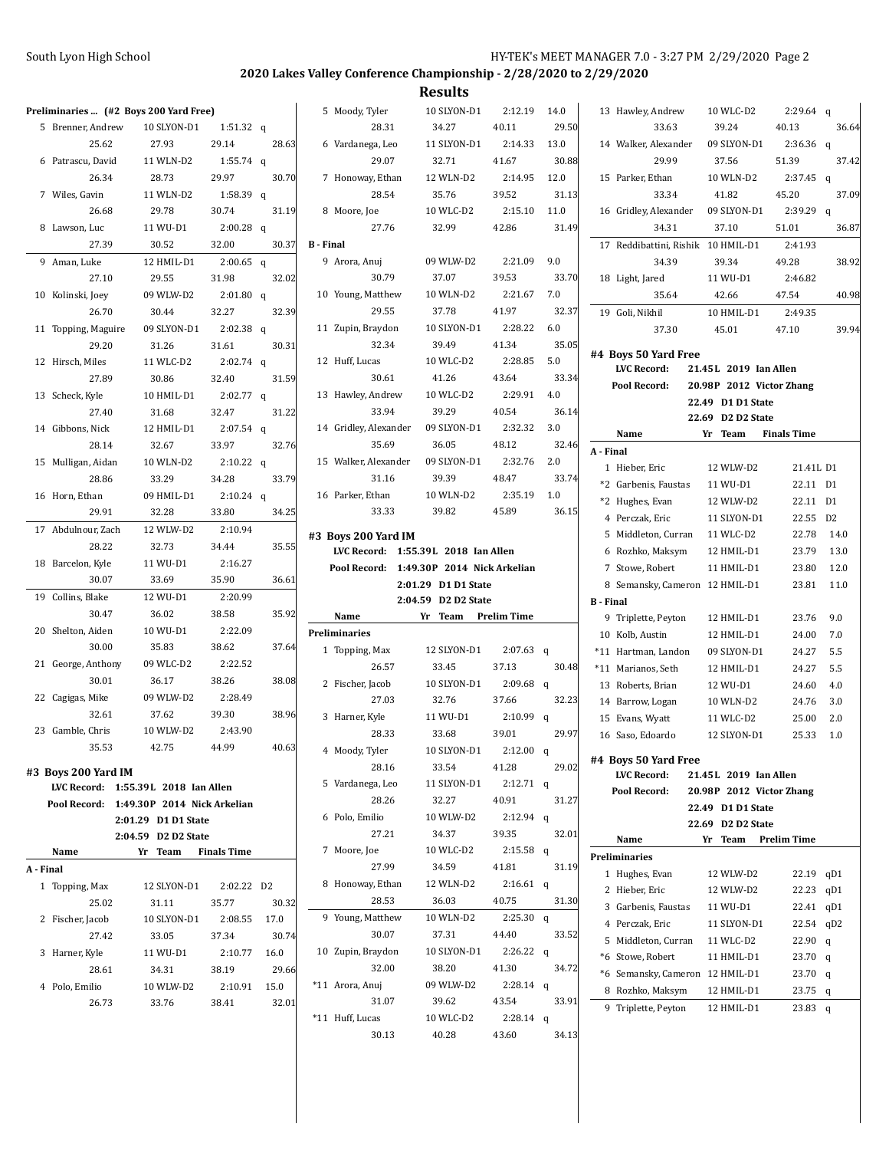|           |                     |                                          |                    |       |                       | --------                                 |                    |       |                                         |                           |                    |            |
|-----------|---------------------|------------------------------------------|--------------------|-------|-----------------------|------------------------------------------|--------------------|-------|-----------------------------------------|---------------------------|--------------------|------------|
|           |                     | Preliminaries  (#2 Boys 200 Yard Free)   |                    |       | 5 Moody, Tyler        | 10 SLYON-D1                              | 2:12.19            | 14.0  | 13 Hawley, Andrew                       | 10 WLC-D2                 | $2:29.64$ q        |            |
|           | 5 Brenner, Andrew   | 10 SLYON-D1                              | 1:51.32 $q$        |       | 28.31                 | 34.27                                    | 40.11              | 29.50 | 33.63                                   | 39.24                     | 40.13              | 36.64      |
|           | 25.62               | 27.93                                    | 29.14              | 28.63 | 6 Vardanega, Leo      | 11 SLYON-D1                              | 2:14.33            | 13.0  | 14 Walker, Alexander                    | 09 SLYON-D1               | $2:36.36$ q        |            |
|           | 6 Patrascu, David   | 11 WLN-D2                                | 1:55.74 $q$        |       | 29.07                 | 32.71                                    | 41.67              | 30.88 | 29.99                                   | 37.56                     | 51.39              | 37.42      |
|           | 26.34               | 28.73                                    | 29.97              | 30.70 | 7 Honoway, Ethan      | 12 WLN-D2                                | 2:14.95            | 12.0  | 15 Parker, Ethan                        | 10 WLN-D2                 | $2:37.45$ q        |            |
|           | 7 Wiles, Gavin      | 11 WLN-D2                                | 1:58.39 q          |       | 28.54                 | 35.76                                    | 39.52              | 31.13 | 33.34                                   | 41.82                     | 45.20              | 37.09      |
|           | 26.68               | 29.78                                    | 30.74              | 31.19 | 8 Moore, Joe          | 10 WLC-D2                                | 2:15.10            | 11.0  | 16 Gridley, Alexander                   | 09 SLYON-D1               | $2:39.29$ q        |            |
|           | 8 Lawson, Luc       | 11 WU-D1                                 | $2:00.28$ q        |       | 27.76                 | 32.99                                    | 42.86              | 31.49 | 34.31                                   | 37.10                     | 51.01              | 36.87      |
|           | 27.39               | 30.52                                    | 32.00              | 30.37 | <b>B</b> - Final      |                                          |                    |       | 17 Reddibattini, Rishik 10 HMIL-D1      |                           | 2:41.93            |            |
|           |                     |                                          | $2:00.65$ q        |       | 9 Arora, Anuj         | 09 WLW-D2                                | 2:21.09            | 9.0   | 34.39                                   | 39.34                     | 49.28              | 38.92      |
|           | 9 Aman, Luke        | 12 HMIL-D1                               |                    |       | 30.79                 | 37.07                                    | 39.53              | 33.70 |                                         |                           |                    |            |
|           | 27.10               | 29.55                                    | 31.98              | 32.02 |                       |                                          |                    | 7.0   | 18 Light, Jared                         | 11 WU-D1                  | 2:46.82            |            |
|           | 10 Kolinski, Joey   | 09 WLW-D2                                | $2:01.80$ q        |       | 10 Young, Matthew     | 10 WLN-D2                                | 2:21.67            |       | 35.64                                   | 42.66                     | 47.54              | 40.98      |
|           | 26.70               | 30.44                                    | 32.27              | 32.39 | 29.55                 | 37.78                                    | 41.97              | 32.37 | 19 Goli, Nikhil                         | 10 HMIL-D1                | 2:49.35            |            |
|           | 11 Topping, Maguire | 09 SLYON-D1                              | $2:02.38$ q        |       | 11 Zupin, Braydon     | 10 SLYON-D1                              | 2:28.22            | 6.0   | 37.30                                   | 45.01                     | 47.10              | 39.94      |
|           | 29.20               | 31.26                                    | 31.61              | 30.31 | 32.34                 | 39.49                                    | 41.34              | 35.05 | #4 Boys 50 Yard Free                    |                           |                    |            |
|           | 12 Hirsch, Miles    | 11 WLC-D2                                | $2:02.74$ q        |       | 12 Huff, Lucas        | 10 WLC-D2                                | 2:28.85            | 5.0   | LVC Record:                             | 21.45L 2019 Ian Allen     |                    |            |
|           | 27.89               | 30.86                                    | 32.40              | 31.59 | 30.61                 | 41.26                                    | 43.64              | 33.34 | Pool Record:                            | 20.98P 2012 Victor Zhang  |                    |            |
|           | 13 Scheck, Kyle     | 10 HMIL-D1                               | $2:02.77$ q        |       | 13 Hawley, Andrew     | 10 WLC-D2                                | 2:29.91            | 4.0   |                                         | 22.49 D1 D1 State         |                    |            |
|           | 27.40               | 31.68                                    | 32.47              | 31.22 | 33.94                 | 39.29                                    | 40.54              | 36.14 |                                         | 22.69 D2 D2 State         |                    |            |
|           | 14 Gibbons, Nick    | 12 HMIL-D1                               | $2:07.54$ q        |       | 14 Gridley, Alexander | 09 SLYON-D1                              | 2:32.32            | 3.0   | Name                                    | Yr Team                   | <b>Finals Time</b> |            |
|           | 28.14               | 32.67                                    | 33.97              | 32.76 | 35.69                 | 36.05                                    | 48.12              | 32.46 | A - Final                               |                           |                    |            |
|           | 15 Mulligan, Aidan  | 10 WLN-D2                                | $2:10.22$ q        |       | 15 Walker, Alexander  | 09 SLYON-D1                              | 2:32.76            | 2.0   | 1 Hieber, Eric                          | 12 WLW-D2                 | 21.41L D1          |            |
|           | 28.86               | 33.29                                    | 34.28              | 33.79 | 31.16                 | 39.39                                    | 48.47              | 33.74 | *2 Garbenis, Faustas                    | 11 WU-D1                  | 22.11 D1           |            |
|           | 16 Horn, Ethan      | 09 HMIL-D1                               | $2:10.24$ q        |       | 16 Parker, Ethan      | 10 WLN-D2                                | 2:35.19            | 1.0   | *2 Hughes, Evan                         | 12 WLW-D2                 | 22.11 D1           |            |
|           | 29.91               | 32.28                                    | 33.80              | 34.25 | 33.33                 | 39.82                                    | 45.89              | 36.15 | 4 Perczak, Eric                         | 11 SLYON-D1               | 22.55 D2           |            |
|           | 17 Abdulnour, Zach  | 12 WLW-D2                                | 2:10.94            |       |                       |                                          |                    |       | 5 Middleton, Curran                     | 11 WLC-D2                 | 22.78              | 14.0       |
|           | 28.22               | 32.73                                    | 34.44              | 35.55 | #3 Boys 200 Yard IM   | LVC Record: 1:55.39L 2018 Ian Allen      |                    |       | 6 Rozhko, Maksym                        | 12 HMIL-D1                | 23.79              | 13.0       |
|           | 18 Barcelon, Kyle   | 11 WU-D1                                 | 2:16.27            |       |                       | Pool Record: 1:49.30P 2014 Nick Arkelian |                    |       | 7 Stowe, Robert                         | 11 HMIL-D1                | 23.80              | 12.0       |
|           | 30.07               | 33.69                                    | 35.90              | 36.61 |                       | 2:01.29 D1 D1 State                      |                    |       | 8 Semansky, Cameron 12 HMIL-D1          |                           | 23.81              | 11.0       |
|           | 19 Collins, Blake   | 12 WU-D1                                 | 2:20.99            |       |                       | 2:04.59 D2 D2 State                      |                    |       | <b>B</b> - Final                        |                           |                    |            |
|           | 30.47               | 36.02                                    | 38.58              | 35.92 | Name                  | Yr Team                                  | <b>Prelim Time</b> |       |                                         |                           |                    |            |
|           | 20 Shelton, Aiden   | 10 WU-D1                                 | 2:22.09            |       | <b>Preliminaries</b>  |                                          |                    |       | 9 Triplette, Peyton                     | 12 HMIL-D1                | 23.76              | 9.0        |
|           | 30.00               | 35.83                                    | 38.62              | 37.64 | 1 Topping, Max        | 12 SLYON-D1                              | $2:07.63$ q        |       | 10 Kolb, Austin                         | 12 HMIL-D1                | 24.00<br>24.27     | 7.0<br>5.5 |
|           | 21 George, Anthony  | 09 WLC-D2                                | 2:22.52            |       | 26.57                 | 33.45                                    | 37.13              | 30.48 | *11 Hartman, Landon                     | 09 SLYON-D1<br>12 HMIL-D1 |                    | 5.5        |
|           | 30.01               | 36.17                                    | 38.26              | 38.08 | 2 Fischer, Jacob      | 10 SLYON-D1                              | $2:09.68$ q        |       | *11 Marianos, Seth<br>13 Roberts, Brian |                           | 24.27              |            |
|           | 22 Cagigas, Mike    | 09 WLW-D2                                | 2:28.49            |       | 27.03                 | 32.76                                    | 37.66              | 32.23 |                                         | 12 WU-D1                  | 24.60              | 4.0        |
|           | 32.61               | 37.62                                    | 39.30              | 38.96 | 3 Harner, Kyle        | 11 WU-D1                                 | $2:10.99$ q        |       | 14 Barrow, Logan                        | 10 WLN-D2                 | 24.76              | 3.0        |
|           | 23 Gamble, Chris    | 10 WLW-D2                                | 2:43.90            |       |                       |                                          |                    |       | 15 Evans, Wyatt                         | 11 WLC-D2                 | 25.00              | 2.0        |
|           | 35.53               | 42.75                                    | 44.99              | 40.63 | 28.33                 | 33.68                                    | 39.01              | 29.97 | 16 Saso, Edoardo                        | 12 SLYON-D1               | 25.33              | 1.0        |
|           |                     |                                          |                    |       | 4 Moody, Tyler        | 10 SLYON-D1                              | $2:12.00$ q        |       | #4 Boys 50 Yard Free                    |                           |                    |            |
|           | #3 Boys 200 Yard IM |                                          |                    |       | 28.16                 | 33.54                                    | 41.28              | 29.02 | <b>LVC Record:</b>                      | 21.45L 2019 Ian Allen     |                    |            |
|           |                     | LVC Record: 1:55.39L 2018 Ian Allen      |                    |       | 5 Vardanega, Leo      | 11 SLYON-D1                              | 2:12.71 q          |       | Pool Record:                            | 20.98P 2012 Victor Zhang  |                    |            |
|           |                     | Pool Record: 1:49.30P 2014 Nick Arkelian |                    |       | 28.26                 | 32.27                                    | 40.91              | 31.27 |                                         | 22.49 D1 D1 State         |                    |            |
|           |                     | 2:01.29 D1 D1 State                      |                    |       | 6 Polo, Emilio        | 10 WLW-D2                                | 2:12.94 q          |       |                                         | 22.69 D2 D2 State         |                    |            |
|           |                     | 2:04.59 D2 D2 State                      |                    |       | 27.21                 | 34.37                                    | 39.35              | 32.01 | Name                                    | Yr Team Prelim Time       |                    |            |
|           | Name                | Yr Team                                  | <b>Finals Time</b> |       | 7 Moore, Joe          | 10 WLC-D2                                | $2:15.58$ q        |       | Preliminaries                           |                           |                    |            |
| A - Final |                     |                                          |                    |       | 27.99                 | 34.59                                    | 41.81              | 31.19 | 1 Hughes, Evan                          | 12 WLW-D2                 | 22.19 qD1          |            |
|           | 1 Topping, Max      | 12 SLYON-D1                              | 2:02.22 D2         |       | 8 Honoway, Ethan      | 12 WLN-D2                                | $2:16.61$ q        |       | 2 Hieber, Eric                          | 12 WLW-D2                 | 22.23 qD1          |            |
|           | 25.02               | 31.11                                    | 35.77              | 30.32 | 28.53                 | 36.03                                    | 40.75              | 31.30 | 3 Garbenis, Faustas                     | 11 WU-D1                  | 22.41 qD1          |            |
|           | 2 Fischer, Jacob    | 10 SLYON-D1                              | 2:08.55            | 17.0  | 9 Young, Matthew      | 10 WLN-D2                                | $2:25.30$ q        |       | 4 Perczak, Eric                         | 11 SLYON-D1               | 22.54 qD2          |            |
|           | 27.42               | 33.05                                    | 37.34              | 30.74 | 30.07                 | 37.31                                    | 44.40              | 33.52 | 5 Middleton, Curran                     | 11 WLC-D2                 | 22.90 q            |            |
|           | 3 Harner, Kyle      | 11 WU-D1                                 | 2:10.77            | 16.0  | 10 Zupin, Braydon     | 10 SLYON-D1                              | $2:26.22$ q        |       | *6 Stowe, Robert                        | 11 HMIL-D1                | 23.70 q            |            |
|           | 28.61               | 34.31                                    | 38.19              | 29.66 | 32.00                 | 38.20                                    | 41.30              | 34.72 | *6 Semansky, Cameron 12 HMIL-D1         |                           | $23.70$ q          |            |
|           | 4 Polo, Emilio      | 10 WLW-D2                                | 2:10.91            | 15.0  | *11 Arora, Anuj       | 09 WLW-D2                                | $2:28.14$ q        |       | 8 Rozhko, Maksym                        | 12 HMIL-D1                | 23.75 q            |            |
|           | 26.73               | 33.76                                    | 38.41              | 32.01 | 31.07                 | 39.62                                    | 43.54              | 33.91 | 9 Triplette, Peyton                     | 12 HMIL-D1                | 23.83 $q$          |            |
|           |                     |                                          |                    |       | *11 Huff, Lucas       | 10 WLC-D2                                | 2:28.14 q          |       |                                         |                           |                    |            |
|           |                     |                                          |                    |       | 30.13                 | 40.28                                    | 43.60              | 34.13 |                                         |                           |                    |            |
|           |                     |                                          |                    |       |                       |                                          |                    |       |                                         |                           |                    |            |
|           |                     |                                          |                    |       |                       |                                          |                    |       |                                         |                           |                    |            |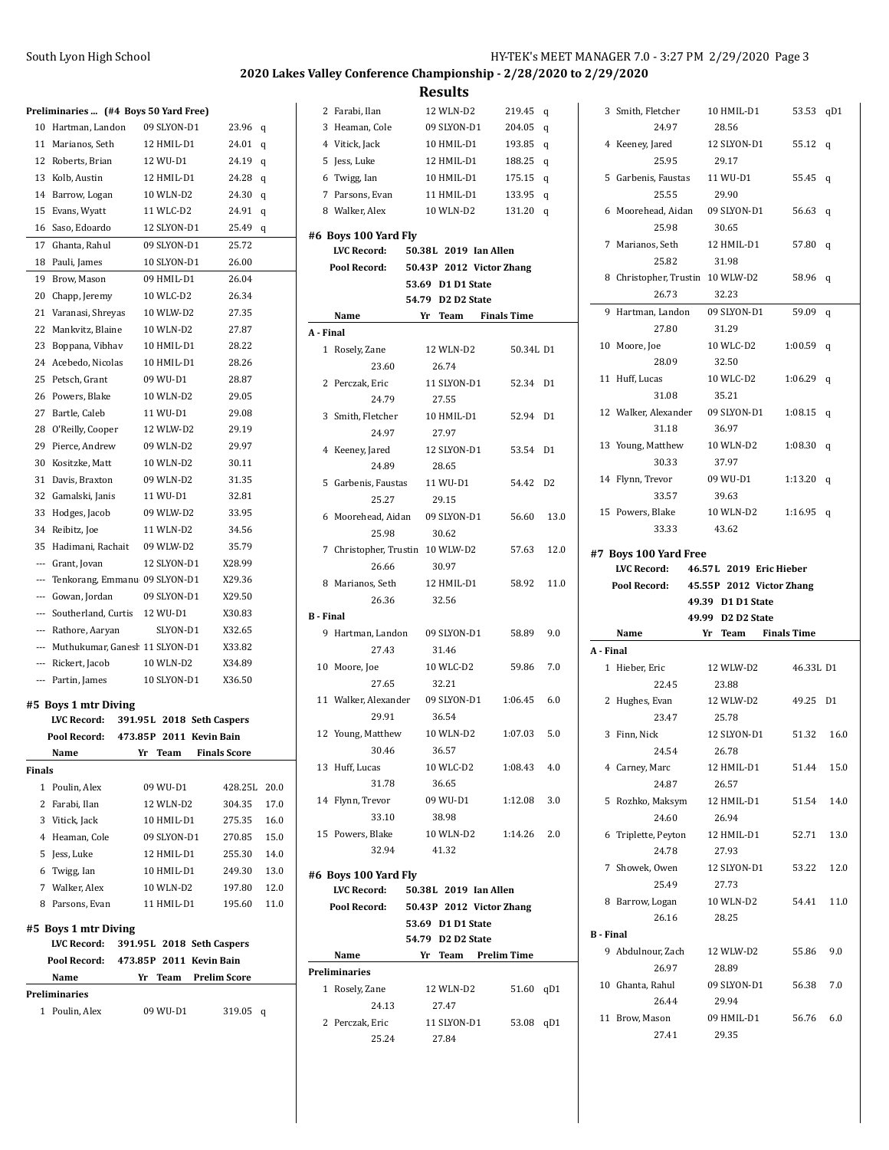|        | Preliminaries  (#4 Boys 50 Yard Free) |                           |                     |
|--------|---------------------------------------|---------------------------|---------------------|
| 10     | Hartman, Landon                       | 09 SLYON-D1               | 23.96<br>q          |
|        | 11 Marianos, Seth                     | 12 HMIL-D1                | 24.01<br>q          |
|        | 12 Roberts, Brian                     | 12 WU-D1                  | 24.19<br>q          |
|        | 13 Kolb, Austin                       | 12 HMIL-D1                | 24.28<br>q          |
|        | 14 Barrow, Logan                      | 10 WLN-D2                 | 24.30<br>q          |
|        | 15 Evans, Wyatt                       | 11 WLC-D2                 | 24.91<br>q          |
|        | 16 Saso, Edoardo                      | 12 SLYON-D1               | 25.49<br>q          |
|        | 17 Ghanta, Rahul                      | 09 SLYON-D1               | 25.72               |
|        | 18 Pauli, James                       | 10 SLYON-D1               | 26.00               |
|        | 19 Brow, Mason                        | 09 HMIL-D1                | 26.04               |
|        | 20 Chapp, Jeremy                      | 10 WLC-D2                 | 26.34               |
|        | 21 Varanasi, Shreyas                  | 10 WLW-D2                 | 27.35               |
|        | 22 Mankvitz, Blaine                   | 10 WLN-D2                 | 27.87               |
|        | 23 Boppana, Vibhav                    | 10 HMIL-D1                | 28.22               |
| 24     | Acebedo, Nicolas                      | 10 HMIL-D1                | 28.26               |
|        |                                       |                           |                     |
| 25     | Petsch, Grant                         | 09 WU-D1                  | 28.87               |
| 26     | Powers, Blake                         | 10 WLN-D2                 | 29.05               |
| 27     | Bartle, Caleb                         | 11 WU-D1                  | 29.08               |
| 28     | O'Reilly, Cooper                      | 12 WLW-D2                 | 29.19               |
| 29     | Pierce, Andrew                        | 09 WLN-D2                 | 29.97               |
| 30     | Kositzke, Matt                        | 10 WLN-D2                 | 30.11               |
| 31     | Davis, Braxton                        | 09 WLN-D2                 | 31.35               |
| 32     | Gamalski, Janis                       | 11 WU-D1                  | 32.81               |
| 33     | Hodges, Jacob                         | 09 WLW-D2                 | 33.95               |
|        | 34 Reibitz, Joe                       | 11 WLN-D2                 | 34.56               |
| 35     | Hadimani, Rachait                     | 09 WLW-D2                 | 35.79               |
|        | --- Grant, Jovan                      | 12 SLYON-D1               | X28.99              |
|        | --- Tenkorang, Emmanu 09 SLYON-D1     |                           | X29.36              |
|        | --- Gowan, Jordan                     | 09 SLYON-D1               | X29.50              |
|        | --- Southerland, Curtis               | 12 WU-D1                  | X30.83              |
|        | --- Rathore, Aaryan                   | SLYON-D1                  | X32.65              |
|        | --- Muthukumar, Ganesł 11 SLYON-D1    |                           | X33.82              |
|        | --- Rickert, Jacob                    | 10 WLN-D2                 | X34.89              |
|        | --- Partin, James                     | 10 SLYON-D1               | X36.50              |
|        | #5 Boys 1 mtr Diving                  |                           |                     |
|        | <b>LVC Record:</b>                    | 391.95L 2018 Seth Caspers |                     |
|        | Pool Record:                          | 473.85P 2011 Kevin Bain   |                     |
|        | Name                                  | Yr Team                   | <b>Finals Score</b> |
| Finals |                                       |                           |                     |
|        | 1 Poulin, Alex                        | 09 WU-D1                  | 428.25L<br>20.0     |
|        | 2 Farabi, Ilan                        | 12 WLN-D2                 | 304.35<br>17.0      |
|        | 3 Vitick, Jack                        | 10 HMIL-D1                | 275.35<br>16.0      |
|        | 4 Heaman, Cole                        | 09 SLYON-D1 270.85        | 15.0                |
|        | 5 Jess, Luke                          | 12 HMIL-D1 255.30         | 14.0                |
|        | 6 Twigg, Ian                          | 10 HMIL-D1                | 249.30<br>13.0      |
|        | 7 Walker, Alex                        | 10 WLN-D2                 | 197.80<br>12.0      |
|        | 8 Parsons, Evan 11 HMIL-D1            |                           | 195.60 11.0         |
|        | #5 Boys 1 mtr Diving                  |                           |                     |
|        | LVC Record:                           | 391.95L 2018 Seth Caspers |                     |
|        | Pool Record: 473.85P 2011 Kevin Bain  |                           |                     |
|        | Name                                  | Yr Team Prelim Score      |                     |
|        | Preliminaries                         |                           |                     |
|        | 1 Poulin, Alex                        | 09 WU-D1                  | 319.05<br>q         |
|        |                                       |                           |                     |
|        |                                       |                           |                     |

| 2                | Farabi, Ilan                               | 12 WLN-D2                              | 219.45             | q              |
|------------------|--------------------------------------------|----------------------------------------|--------------------|----------------|
| 3                | Heaman, Cole                               | 09 SLYON-D1                            | 204.05             | q              |
|                  | 4 Vitick, Jack                             | 10 HMIL-D1                             | 193.85             | q              |
|                  | 5 Jess, Luke                               | 12 HMIL-D1                             | 188.25             | q              |
|                  | 6 Twigg, Ian                               | 10 HMIL-D1                             | 175.15             | q              |
|                  | 7 Parsons, Evan                            | 11 HMIL-D1                             | 133.95             | q              |
|                  | 8 Walker, Alex                             | 10 WLN-D2                              | 131.20             | q              |
|                  |                                            |                                        |                    |                |
|                  | #6 Boys 100 Yard Fly<br><b>LVC Record:</b> |                                        |                    |                |
|                  | Pool Record:                               | 50.38L 2019 Ian Allen                  |                    |                |
|                  |                                            | 50.43P 2012 Victor Zhang               |                    |                |
|                  |                                            | 53.69 D1 D1 State<br>54.79 D2 D2 State |                    |                |
|                  | Name                                       | Yr<br>Team                             | <b>Finals Time</b> |                |
| A - Final        |                                            |                                        |                    |                |
| 1                | Rosely, Zane                               | 12 WLN-D2                              | 50.34L D1          |                |
|                  | 23.60                                      | 26.74                                  |                    |                |
|                  | 2 Perczak, Eric                            | 11 SLYON-D1                            | 52.34              | D1             |
|                  | 24.79                                      | 27.55                                  |                    |                |
|                  | 3 Smith, Fletcher                          |                                        |                    | D1             |
|                  |                                            | 10 HMIL-D1                             | 52.94              |                |
|                  | 24.97                                      | 27.97                                  |                    |                |
|                  | 4 Keeney, Jared                            | 12 SLYON-D1                            | 53.54              | D <sub>1</sub> |
|                  | 24.89                                      | 28.65                                  |                    |                |
| 5                | Garbenis, Faustas                          | 11 WU-D1                               | 54.42              | D2             |
|                  | 25.27                                      | 29.15                                  |                    |                |
| 6                | Moorehead, Aidan                           | 09 SLYON-D1                            | 56.60              | 13.0           |
|                  | 25.98                                      | 30.62                                  |                    |                |
| 7                | Christopher, Trustin                       | 10 WLW-D2                              | 57.63              | 12.0           |
|                  | 26.66                                      | 30.97                                  |                    |                |
|                  | 8 Marianos, Seth                           | 12 HMIL-D1                             | 58.92              | 11.0           |
|                  | 26.36                                      | 32.56                                  |                    |                |
| <b>B</b> - Final |                                            |                                        |                    |                |
|                  | 9 Hartman, Landon                          | 09 SLYON-D1                            | 58.89              | 9.0            |
|                  | 27.43                                      | 31.46                                  |                    |                |
|                  | 10 Moore, Joe                              | 10 WLC-D2                              | 59.86              | 7.0            |
|                  | 27.65                                      | 32.21                                  |                    |                |
|                  | 11 Walker, Alexander                       | 09 SLYON-D1                            | 1:06.45            | 6.0            |
|                  | 29.91                                      | 36.54                                  |                    |                |
|                  | 12 Young, Matthew                          | 10 WLN-D2                              | 1:07.03            | 5.0            |
|                  | 30.46                                      | 36.57                                  |                    |                |
|                  | 13 Huff, Lucas                             | 10 WLC-D2                              | 1:08.43            | 4.0            |
|                  | 31.78                                      | 36.65                                  |                    |                |
|                  | 14 Flynn, Trevor                           | 09 WU-D1                               | 1:12.08            | 3.0            |
|                  | 33.10                                      | 38.98                                  |                    |                |
|                  | 15 Powers, Blake                           | 10 WLN-D2                              | 1:14.26            | 2.0            |
|                  | 32.94                                      | 41.32                                  |                    |                |
|                  | #6 Boys 100 Yard Fly                       |                                        |                    |                |
|                  | <b>LVC Record:</b>                         | 50.38L 2019 Ian Allen                  |                    |                |
|                  | Pool Record:                               | 50.43P 2012 Victor Zhang               |                    |                |
|                  |                                            | 53.69 D1 D1 State                      |                    |                |
|                  |                                            | 54.79 D2 D2 State                      |                    |                |
|                  | Name                                       | Yr Team Prelim Time                    |                    |                |
|                  | <b>Preliminaries</b>                       |                                        |                    |                |
|                  | 1 Rosely, Zane                             | 12 WLN-D2                              | 51.60 qD1          |                |
|                  | 24.13                                      | 27.47                                  |                    |                |
|                  | 2 Perczak, Eric                            | 11 SLYON-D1                            | 53.08 qD1          |                |
|                  |                                            |                                        |                    |                |
|                  | 25.24                                      | 27.84                                  |                    |                |

|                  | 3 Smith, Fletcher                                            | 10 HMIL-D1                               | 53.53     | qD1  |
|------------------|--------------------------------------------------------------|------------------------------------------|-----------|------|
|                  | 24.97                                                        | 28.56                                    |           |      |
|                  | 4 Keeney, Jared                                              | 12 SLYON-D1                              | 55.12     | q    |
|                  | 25.95                                                        | 29.17                                    |           |      |
|                  | 5 Garbenis, Faustas                                          | 11 WU-D1                                 | 55.45     | q    |
|                  | 25.55                                                        | 29.90                                    |           |      |
|                  | 6 Moorehead, Aidan                                           | 09 SLYON-D1                              | 56.63     | q    |
|                  | 25.98                                                        | 30.65                                    |           |      |
| 7                | Marianos, Seth                                               | 12 HMIL-D1                               | 57.80     | q    |
|                  | 25.82                                                        | 31.98                                    |           |      |
|                  | 8 Christopher, Trustin 10 WLW-D2                             |                                          | 58.96     | q    |
|                  | 26.73                                                        | 32.23                                    |           |      |
| 9                | Hartman, Landon                                              | 09 SLYON-D1                              | 59.09     | q    |
|                  | 27.80                                                        | 31.29                                    |           |      |
|                  | 10 Moore, Joe                                                | 10 WLC-D2                                | 1:00.59   | q    |
|                  | 28.09                                                        | 32.50                                    |           |      |
| 11               | Huff, Lucas                                                  | 10 WLC-D2                                | 1:06.29   | q    |
|                  | 31.08                                                        | 35.21                                    |           |      |
|                  | 12 Walker, Alexander                                         | 09 SLYON-D1                              | 1:08.15   | q    |
|                  | 31.18                                                        | 36.97                                    |           |      |
|                  | 13 Young, Matthew                                            | 10 WLN-D2                                | 1:08.30   | q    |
|                  | 30.33                                                        | 37.97                                    |           |      |
|                  | 14 Flynn, Trevor                                             | 09 WU-D1                                 | 1:13.20   | q    |
|                  | 33.57                                                        | 39.63                                    |           |      |
|                  | 15 Powers, Blake                                             | 10 WLN-D2                                | 1:16.95   | q    |
|                  | 33.33                                                        | 43.62                                    |           |      |
|                  |                                                              |                                          |           |      |
|                  | #7 Boys 100 Yard Free<br>LVC Record: 46.57L 2019 Eric Hieber |                                          |           |      |
|                  |                                                              |                                          |           |      |
|                  |                                                              |                                          |           |      |
|                  | Pool Record:                                                 | 45.55P 2012 Victor Zhang                 |           |      |
|                  |                                                              | 49.39 D1 D1 State                        |           |      |
|                  | Name                                                         | 49.99 D2 D2 State<br>Yr Team Finals Time |           |      |
| A - Final        |                                                              |                                          |           |      |
|                  | 1 Hieber, Eric                                               | 12 WLW-D2                                | 46.33L D1 |      |
|                  | 22.45                                                        | 23.88                                    |           |      |
| 2                | Hughes, Evan                                                 | 12 WLW-D2                                | 49.25     | D1   |
|                  | 23.47                                                        | 25.78                                    |           |      |
| 3                | Finn, Nick                                                   | 12 SLYON-D1                              | 51.32     | 16.0 |
|                  | 24.54                                                        | 26.78                                    |           |      |
|                  | 4 Carney, Marc                                               | 12 HMIL-D1                               | 51.44     | 15.0 |
|                  | 24.87                                                        | 26.57                                    |           |      |
| 5                | Rozhko, Maksym                                               | 12 HMIL-D1                               | 51.54     | 14.0 |
|                  | 24.60                                                        | 26.94                                    |           |      |
| 6                | Triplette, Peyton                                            | 12 HMIL-D1                               | 52.71     | 13.0 |
|                  | 24.78                                                        | 27.93                                    |           |      |
|                  | 7 Showek, Owen                                               | 12 SLYON-D1                              | 53.22     | 12.0 |
|                  | 25.49                                                        | 27.73                                    |           |      |
| 8                | Barrow, Logan                                                | 10 WLN-D2                                | 54.41     | 11.0 |
|                  | 26.16                                                        | 28.25                                    |           |      |
| <b>B</b> - Final |                                                              |                                          |           |      |
|                  | 9 Abdulnour, Zach                                            | 12 WLW-D2                                | 55.86     | 9.0  |
|                  | 26.97                                                        | 28.89                                    |           |      |
|                  | 10 Ghanta, Rahul                                             | 09 SLYON-D1                              | 56.38     | 7.0  |
|                  | 26.44                                                        | 29.94                                    |           |      |
| 11               | Brow, Mason<br>27.41                                         | 09 HMIL-D1<br>29.35                      | 56.76     | 6.0  |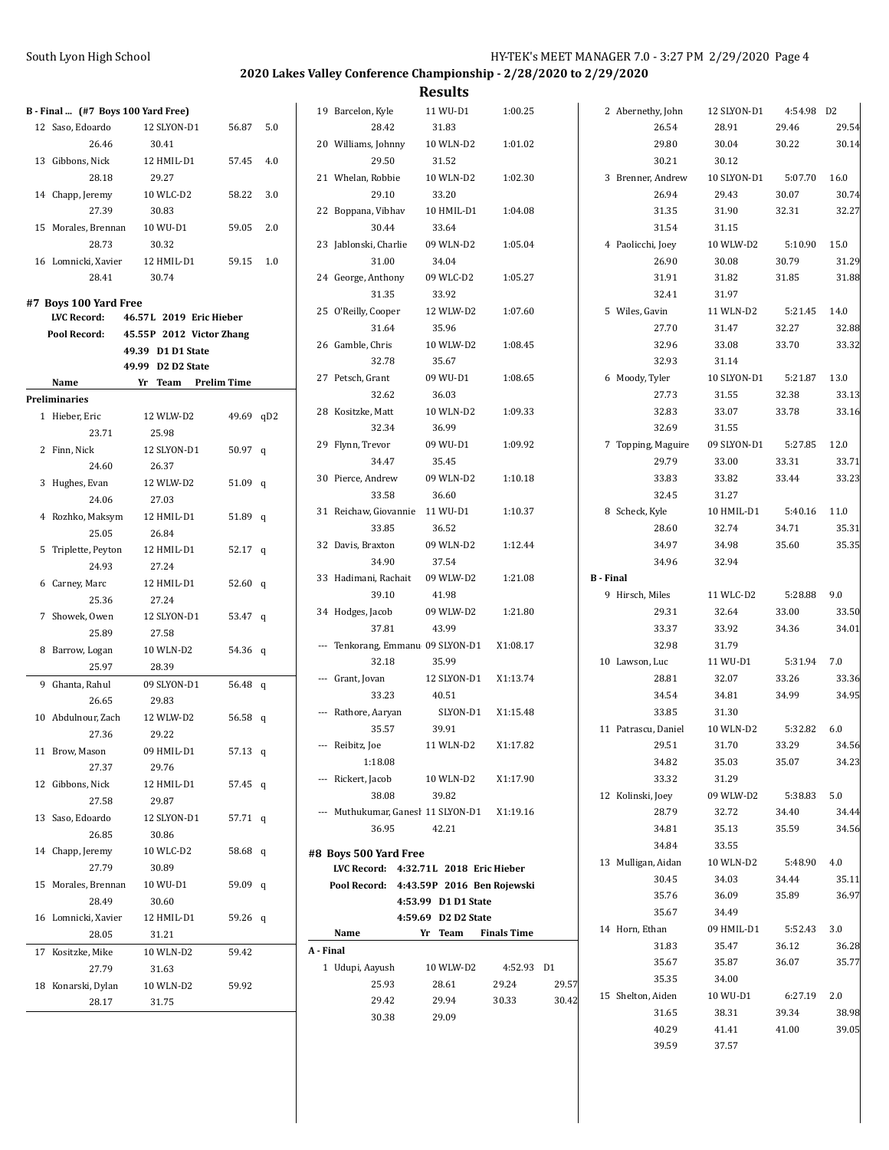| B - Final  (#7 Boys 100 Yard Free) |                          |           |           | 19 Barcelon, Kyle                                              | 11 WU-D1            | 1:00.25            |       | 2 Abernethy, John   |                | 12 SLYON-D1    | 4:54.98 D2     |                |
|------------------------------------|--------------------------|-----------|-----------|----------------------------------------------------------------|---------------------|--------------------|-------|---------------------|----------------|----------------|----------------|----------------|
| 12 Saso, Edoardo                   | 12 SLYON-D1              | 56.87 5.0 |           | 28.42                                                          | 31.83               |                    |       |                     | 26.54          | 28.91          | 29.46          | 29.54          |
| 26.46                              | 30.41                    |           |           | 20 Williams, Johnny                                            | 10 WLN-D2           | 1:01.02            |       |                     | 29.80          | 30.04          | 30.22          | 30.14          |
| 13 Gibbons, Nick                   | 12 HMIL-D1               | 57.45 4.0 |           | 29.50                                                          | 31.52               |                    |       |                     | 30.21          | 30.12          |                |                |
| 28.18                              | 29.27                    |           |           | 21 Whelan, Robbie                                              | 10 WLN-D2           | 1:02.30            |       | 3 Brenner, Andrew   |                | 10 SLYON-D1    | 5:07.70        | 16.0           |
| 14 Chapp, Jeremy                   | 10 WLC-D2                | 58.22 3.0 |           | 29.10                                                          | 33.20               |                    |       |                     | 26.94          | 29.43          | 30.07          | 30.74          |
| 27.39                              | 30.83                    |           |           | 22 Boppana, Vibhav                                             | 10 HMIL-D1          | 1:04.08            |       |                     | 31.35          | 31.90          | 32.31          | 32.27          |
| 15 Morales, Brennan                | 10 WU-D1                 | 59.05 2.0 |           | 30.44                                                          | 33.64               |                    |       |                     | 31.54          | 31.15          |                |                |
| 28.73                              | 30.32                    |           |           | 23 Jablonski, Charlie                                          | 09 WLN-D2           | 1:05.04            |       | 4 Paolicchi, Joey   |                | 10 WLW-D2      | 5:10.90        | 15.0           |
| 16 Lomnicki, Xavier                | 12 HMIL-D1               | 59.15 1.0 |           | 31.00                                                          | 34.04               |                    |       |                     | 26.90          | 30.08          | 30.79          | 31.29          |
| 28.41                              | 30.74                    |           |           | 24 George, Anthony                                             | 09 WLC-D2           | 1:05.27            |       |                     | 31.91          | 31.82          | 31.85          | 31.88          |
| #7 Boys 100 Yard Free              |                          |           |           | 31.35                                                          | 33.92               |                    |       |                     | 32.41          | 31.97          |                |                |
| LVC Record:                        | 46.57L 2019 Eric Hieber  |           |           | 25 O'Reilly, Cooper                                            | 12 WLW-D2           | 1:07.60            |       | 5 Wiles, Gavin      |                | 11 WLN-D2      | 5:21.45        | 14.0           |
| Pool Record:                       | 45.55P 2012 Victor Zhang |           |           | 31.64                                                          | 35.96               |                    |       |                     | 27.70          | 31.47          | 32.27          | 32.88          |
|                                    | 49.39 D1 D1 State        |           |           | 26 Gamble, Chris                                               | 10 WLW-D2           | 1:08.45            |       |                     | 32.96          | 33.08          | 33.70          | 33.32          |
|                                    | 49.99 D2 D2 State        |           |           | 32.78                                                          | 35.67               |                    |       |                     | 32.93          | 31.14          |                |                |
| Name                               | Yr Team Prelim Time      |           |           | 27 Petsch, Grant                                               | 09 WU-D1            | 1:08.65            |       | 6 Moody, Tyler      |                | 10 SLYON-D1    | 5:21.87        | 13.0           |
| Preliminaries                      |                          |           |           | 32.62                                                          | 36.03               |                    |       |                     | 27.73          | 31.55          | 32.38          | 33.13          |
| 1 Hieber, Eric                     | 12 WLW-D2                | 49.69 qD2 |           | 28 Kositzke, Matt                                              | 10 WLN-D2           | 1:09.33            |       |                     | 32.83          | 33.07          | 33.78          | 33.16          |
| 23.71                              | 25.98                    |           |           | 32.34                                                          | 36.99               |                    |       |                     | 32.69          | 31.55          |                |                |
| 2 Finn, Nick                       | 12 SLYON-D1              | 50.97 $q$ |           | 29 Flynn, Trevor                                               | 09 WU-D1            | 1:09.92            |       | 7 Topping, Maguire  |                | 09 SLYON-D1    | 5:27.85        | 12.0           |
| 24.60                              | 26.37                    |           |           | 34.47                                                          | 35.45               |                    |       |                     | 29.79          | 33.00          | 33.31          | 33.71          |
| 3 Hughes, Evan                     | 12 WLW-D2                | 51.09 $q$ |           | 30 Pierce, Andrew                                              | 09 WLN-D2           | 1:10.18            |       |                     | 33.83          | 33.82          | 33.44          | 33.23          |
| 24.06                              | 27.03                    |           |           | 33.58                                                          | 36.60               |                    |       |                     | 32.45          | 31.27          |                |                |
| 4 Rozhko, Maksym                   | 12 HMIL-D1               | 51.89 q   |           | 31 Reichaw, Giovannie 11 WU-D1                                 |                     | 1:10.37            |       | 8 Scheck, Kyle      |                | 10 HMIL-D1     | 5:40.16        | 11.0           |
| 25.05                              | 26.84                    |           |           | 33.85                                                          | 36.52               |                    |       |                     | 28.60          | 32.74          | 34.71          | 35.31          |
| 5 Triplette, Peyton                | 12 HMIL-D1               | $52.17$ q |           | 32 Davis, Braxton                                              | 09 WLN-D2           | 1:12.44            |       |                     | 34.97          | 34.98          | 35.60          | 35.35          |
| 24.93                              | 27.24                    |           |           | 34.90                                                          | 37.54               |                    |       |                     | 34.96          | 32.94          |                |                |
| 6 Carney, Marc                     | 12 HMIL-D1               | 52.60 $q$ |           | 33 Hadimani, Rachait<br>39.10                                  | 09 WLW-D2           | 1:21.08            |       | <b>B</b> - Final    |                |                | 5:28.88        |                |
| 25.36                              | 27.24                    |           |           |                                                                | 41.98               |                    |       | 9 Hirsch, Miles     |                | 11 WLC-D2      |                | 9.0            |
| 7 Showek, Owen                     | 12 SLYON-D1              | 53.47 q   |           | 34 Hodges, Jacob<br>37.81                                      | 09 WLW-D2<br>43.99  | 1:21.80            |       |                     | 29.31          | 32.64<br>33.92 | 33.00<br>34.36 | 33.50<br>34.01 |
| 25.89                              | 27.58                    |           |           | --- Tenkorang, Emmanu 09 SLYON-D1                              |                     | X1:08.17           |       |                     | 33.37<br>32.98 | 31.79          |                |                |
| 8 Barrow, Logan                    | 10 WLN-D2                | 54.36 q   |           | 32.18                                                          | 35.99               |                    |       | 10 Lawson, Luc      |                | 11 WU-D1       | 5:31.94        | 7.0            |
| 25.97                              | 28.39                    |           |           | --- Grant, Jovan                                               | 12 SLYON-D1         | X1:13.74           |       |                     | 28.81          | 32.07          | 33.26          | 33.36          |
| 9 Ghanta, Rahul                    | 09 SLYON-D1              | 56.48 $q$ |           | 33.23                                                          | 40.51               |                    |       |                     | 34.54          | 34.81          | 34.99          | 34.95          |
| 26.65                              | 29.83                    |           |           | --- Rathore, Aaryan                                            | SLYON-D1            | X1:15.48           |       |                     | 33.85          | 31.30          |                |                |
| 10 Abdulnour, Zach                 | 12 WLW-D2                | 56.58 $q$ |           | 35.57                                                          | 39.91               |                    |       | 11 Patrascu, Daniel |                | 10 WLN-D2      | 5:32.82        | 6.0            |
| 27.36                              | 29.22                    |           |           | --- Reibitz, Joe                                               | 11 WLN-D2           | X1.17.82           |       |                     | 29.51          | 31.70          | 33.29          | 34.56          |
| 11 Brow, Mason                     | 09 HMIL-D1               | 57.13 q   |           | 1:18.08                                                        |                     |                    |       |                     | 34.82          | 35.03          | 35.07          | 34.23          |
| 27.37                              | 29.76                    |           |           | --- Rickert, Jacob                                             | 10 WLN-D2           | X1:17.90           |       |                     | 33.32          | 31.29          |                |                |
| 12 Gibbons, Nick                   | 12 HMIL-D1               | 57.45 $q$ |           | 38.08                                                          | 39.82               |                    |       | 12 Kolinski, Joey   |                | 09 WLW-D2      | 5:38.83        | 5.0            |
| 27.58                              | 29.87                    |           |           | --- Muthukumar, Ganesł 11 SLYON-D1                             |                     | X1:19.16           |       |                     | 28.79          | 32.72          | 34.40          | 34.44          |
| 13 Saso, Edoardo<br>26.85          | 12 SLYON-D1<br>30.86     | 57.71 q   |           | 36.95                                                          | 42.21               |                    |       |                     | 34.81          | 35.13          | 35.59          | 34.56          |
|                                    | 10 WLC-D2                |           |           |                                                                |                     |                    |       |                     | 34.84          | 33.55          |                |                |
| 14 Chapp, Jeremy<br>27.79          | 30.89                    | 58.68 q   |           | #8 Boys 500 Yard Free<br>LVC Record: 4:32.71L 2018 Eric Hieber |                     |                    |       | 13 Mulligan, Aidan  |                | 10 WLN-D2      | 5:48.90        | 4.0            |
| 15 Morales, Brennan                | 10 WU-D1                 | 59.09 q   |           | Pool Record: 4:43.59P 2016 Ben Rojewski                        |                     |                    |       |                     | 30.45          | 34.03          | 34.44          | 35.11          |
| 28.49                              | 30.60                    |           |           |                                                                | 4:53.99 D1 D1 State |                    |       |                     | 35.76          | 36.09          | 35.89          | 36.97          |
| 16 Lomnicki, Xavier                | 12 HMIL-D1               | 59.26 q   |           |                                                                | 4:59.69 D2 D2 State |                    |       |                     | 35.67          | 34.49          |                |                |
| 28.05                              | 31.21                    |           |           | Name                                                           | Yr Team             | <b>Finals Time</b> |       | 14 Horn, Ethan      |                | 09 HMIL-D1     | 5:52.43        | 3.0            |
| 17 Kositzke, Mike                  | 10 WLN-D2                | 59.42     | A - Final |                                                                |                     |                    |       |                     | 31.83          | 35.47          | 36.12          | 36.28          |
| 27.79                              | 31.63                    |           |           | 1 Udupi, Aayush                                                | 10 WLW-D2           | 4:52.93 D1         |       |                     | 35.67          | 35.87          | 36.07          | 35.77          |
| 18 Konarski, Dylan                 | 10 WLN-D2                | 59.92     |           | 25.93                                                          | 28.61               | 29.24              | 29.57 |                     | 35.35          | 34.00          |                |                |
| 28.17                              | 31.75                    |           |           | 29.42                                                          | 29.94               | 30.33              | 30.42 | 15 Shelton, Aiden   |                | 10 WU-D1       | 6:27.19        | 2.0            |
|                                    |                          |           |           | 30.38                                                          | 29.09               |                    |       |                     | 31.65          | 38.31          | 39.34          | 38.98          |
|                                    |                          |           |           |                                                                |                     |                    |       |                     | 40.29          | 41.41          | 41.00          | 39.05          |
|                                    |                          |           |           |                                                                |                     |                    |       |                     | 39.59          | 37.57          |                |                |
|                                    |                          |           |           |                                                                |                     |                    |       |                     |                |                |                |                |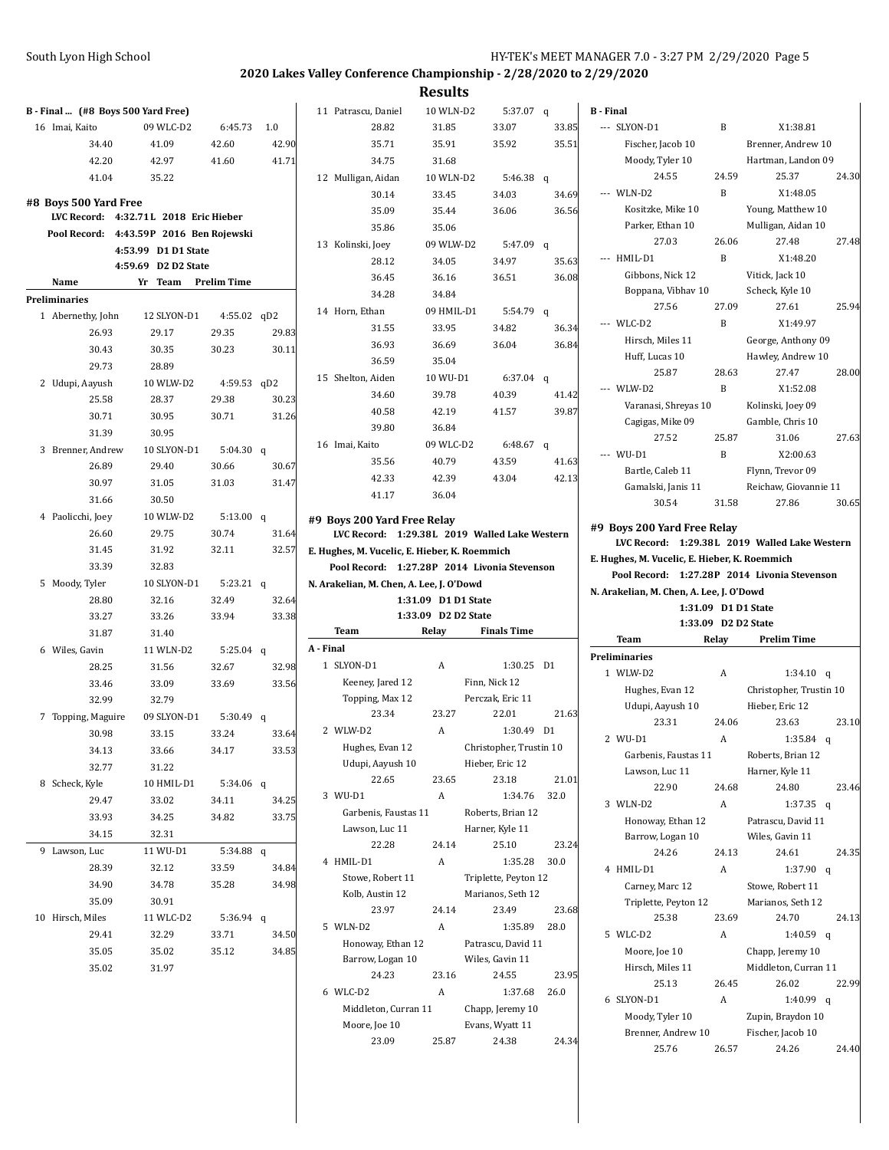| B Final  (#8 Boys 500 Yard Free)        |                                            |                    |                | 11 Patrascu, Daniel                           | 10 WLN-D2           | 5:37.07 q                |       | <b>B</b> - Final                              |              |                            |       |
|-----------------------------------------|--------------------------------------------|--------------------|----------------|-----------------------------------------------|---------------------|--------------------------|-------|-----------------------------------------------|--------------|----------------------------|-------|
| 16 Imai, Kaito                          | 09 WLC-D2                                  | 6:45.73            | 1.0            | 28.82                                         | 31.85               | 33.07                    | 33.85 | --- SLYON-D1                                  | B            | X1:38.81                   |       |
| 34.40                                   | 41.09                                      | 42.60              | 42.90          | 35.71                                         | 35.91               | 35.92                    | 35.51 | Fischer, Jacob 10                             |              | Brenner, Andrew 10         |       |
| 42.20                                   | 42.97                                      | 41.60              | 41.71          | 34.75                                         | 31.68               |                          |       | Moody, Tyler 10                               |              | Hartman, Landon 09         |       |
| 41.04                                   | 35.22                                      |                    |                | 12 Mulligan, Aidan                            | 10 WLN-D2           | 5:46.38 q                |       | 24.55                                         | 24.59        | 25.37                      | 24.30 |
|                                         |                                            |                    |                | 30.14                                         | 33.45               | 34.03                    | 34.69 | --- WLN-D2                                    | $\, {\bf B}$ | X1:48.05                   |       |
| #8 Boys 500 Yard Free                   |                                            |                    |                | 35.09                                         | 35.44               | 36.06                    | 36.56 | Kositzke, Mike 10                             |              | Young, Matthew 10          |       |
| LVC Record: 4:32.71L 2018 Eric Hieber   |                                            |                    |                | 35.86                                         | 35.06               |                          |       | Parker, Ethan 10                              |              | Mulligan, Aidan 10         |       |
| Pool Record: 4:43.59P 2016 Ben Rojewski |                                            |                    |                | 13 Kolinski, Joey                             | 09 WLW-D2           | 5:47.09 $q$              |       | 27.03                                         | 26.06        | 27.48                      | 27.48 |
|                                         | 4:53.99 D1 D1 State<br>4:59.69 D2 D2 State |                    |                | 28.12                                         | 34.05               | 34.97                    | 35.63 | --- HMIL-D1                                   | $\, {\bf B}$ | X1:48.20                   |       |
| Name                                    | Yr Team                                    | <b>Prelim Time</b> |                | 36.45                                         | 36.16               | 36.51                    | 36.08 | Gibbons, Nick 12                              |              | Vitick, Jack 10            |       |
| Preliminaries                           |                                            |                    |                | 34.28                                         | 34.84               |                          |       | Boppana, Vibhav 10                            |              | Scheck, Kyle 10            |       |
|                                         | 12 SLYON-D1                                | 4:55.02 qD2        |                | 14 Horn, Ethan                                | 09 HMIL-D1          | 5:54.79 q                |       | 27.56                                         | 27.09        | 27.61                      | 25.94 |
| 1 Abernethy, John<br>26.93              |                                            |                    |                | 31.55                                         | 33.95               | 34.82                    | 36.34 | --- WLC-D2                                    | $\, {\bf B}$ | X1:49.97                   |       |
|                                         | 29.17                                      | 29.35<br>30.23     | 29.83<br>30.11 | 36.93                                         | 36.69               | 36.04                    | 36.84 | Hirsch, Miles 11                              |              | George, Anthony 09         |       |
| 30.43                                   | 30.35                                      |                    |                | 36.59                                         | 35.04               |                          |       | Huff, Lucas 10                                |              | Hawley, Andrew 10          |       |
| 29.73                                   | 28.89                                      |                    |                | 15 Shelton, Aiden                             | 10 WU-D1            | $6:37.04$ q              |       | 25.87                                         | 28.63        | 27.47                      | 28.00 |
| 2 Udupi, Aayush                         | 10 WLW-D2                                  | 4:59.53 qD2        |                | 34.60                                         | 39.78               | 40.39                    | 41.42 | --- WLW-D2                                    | B            | X1:52.08                   |       |
| 25.58                                   | 28.37                                      | 29.38              | 30.23          | 40.58                                         | 42.19               | 41.57                    | 39.87 | Varanasi, Shreyas 10                          |              | Kolinski, Joey 09          |       |
| 30.71                                   | 30.95                                      | 30.71              | 31.26          | 39.80                                         | 36.84               |                          |       | Cagigas, Mike 09                              |              | Gamble, Chris 10           |       |
| 31.39                                   | 30.95                                      |                    |                | 16 Imai, Kaito                                | 09 WLC-D2           | 6:48.67 q                |       | 27.52                                         | 25.87        | 31.06                      | 27.63 |
| 3 Brenner, Andrew                       | 10 SLYON-D1                                | $5:04.30$ q        |                | 35.56                                         | 40.79               | 43.59                    | 41.63 | --- WU-D1                                     | $\, {\bf B}$ | X2:00.63                   |       |
| 26.89                                   | 29.40                                      | 30.66              | 30.67          | 42.33                                         | 42.39               | 43.04                    | 42.13 | Bartle, Caleb 11                              |              | Flynn, Trevor 09           |       |
| 30.97                                   | 31.05                                      | 31.03              | 31.47          | 41.17                                         | 36.04               |                          |       | Gamalski, Janis 11                            |              | Reichaw, Giovannie 11      |       |
| 31.66                                   | 30.50                                      |                    |                |                                               |                     |                          |       | 30.54                                         | 31.58        | 27.86                      | 30.65 |
| 4 Paolicchi, Joey                       | 10 WLW-D2                                  | 5:13.00 $q$        |                | #9 Boys 200 Yard Free Relay                   |                     |                          |       | #9 Boys 200 Yard Free Relay                   |              |                            |       |
| 26.60                                   | 29.75                                      | 30.74              | 31.64          | LVC Record: 1:29.38L 2019 Walled Lake Western |                     |                          |       | LVC Record: 1:29.38L 2019 Walled Lake Western |              |                            |       |
| 31.45                                   | 31.92                                      | 32.11              | 32.57          | E. Hughes, M. Vucelic, E. Hieber, K. Roemmich |                     |                          |       | E. Hughes, M. Vucelic, E. Hieber, K. Roemmich |              |                            |       |
| 33.39                                   | 32.83                                      |                    |                | Pool Record: 1:27.28P 2014 Livonia Stevenson  |                     |                          |       | Pool Record: 1:27.28P 2014 Livonia Stevenson  |              |                            |       |
|                                         |                                            |                    |                |                                               |                     |                          |       |                                               |              |                            |       |
| 5 Moody, Tyler                          | 10 SLYON-D1                                | 5:23.21 q          |                | N. Arakelian, M. Chen, A. Lee, J. O'Dowd      |                     |                          |       | N. Arakelian, M. Chen, A. Lee, J. O'Dowd      |              |                            |       |
| 28.80                                   | 32.16                                      | 32.49              | 32.64          |                                               | 1:31.09 D1 D1 State |                          |       |                                               |              | 1:31.09 D1 D1 State        |       |
| 33.27                                   | 33.26                                      | 33.94              | 33.38          |                                               | 1:33.09 D2 D2 State |                          |       |                                               |              | 1:33.09 D2 D2 State        |       |
| 31.87                                   | 31.40                                      |                    |                | Team                                          | Relay               | <b>Finals Time</b>       |       | Team                                          | Relay        | <b>Prelim Time</b>         |       |
| 6 Wiles, Gavin                          | 11 WLN-D2                                  | $5:25.04$ q        |                | A - Final                                     |                     |                          |       | <b>Preliminaries</b>                          |              |                            |       |
| 28.25                                   | 31.56                                      | 32.67              | 32.98          | 1 SLYON-D1                                    | A                   | 1:30.25 D1               |       | 1 WLW-D2                                      | A            | 1:34.10 $q$                |       |
| 33.46                                   | 33.09                                      | 33.69              | 33.56          | Keeney, Jared 12                              |                     | Finn, Nick 12            |       | Hughes, Evan 12                               |              | Christopher, Trustin 10    |       |
| 32.99                                   | 32.79                                      |                    |                | Topping, Max 12                               |                     | Perczak, Eric 11         |       | Udupi, Aayush 10                              |              | Hieber, Eric 12            |       |
| 7 Topping, Maguire                      | 09 SLYON-D1                                | 5:30.49 $q$        |                | 23.34                                         | 23.27               | 22.01                    | 21.63 | 23.31                                         | 24.06        | 23.63                      | 23.10 |
| 30.98                                   | 33.15                                      | 33.24              | 33.64          | 2 WLW-D2                                      | A                   | 1:30.49 D1               |       | 2 WU-D1                                       | A            | 1:35.84 $q$                |       |
| 34.13                                   | 33.66                                      | 34.17              | 33.53          | Hughes, Evan 12                               |                     | Christopher, Trustin 10  |       | Garbenis, Faustas 11                          |              | Roberts, Brian 12          |       |
| 32.77                                   | 31.22                                      |                    |                | Udupi, Aayush 10<br>22.65                     | 23.65               | Hieber, Eric 12<br>23.18 | 21.01 | Lawson, Luc 11                                |              | Harner, Kyle 11            |       |
| 8 Scheck, Kyle                          | 10 HMIL-D1                                 | 5:34.06 $q$        |                | 3 WU-D1                                       | $\boldsymbol{A}$    | 1:34.76                  | 32.0  | 22.90                                         | 24.68        | 24.80                      | 23.46 |
| 29.47                                   | 33.02                                      | 34.11              | 34.25          | Garbenis, Faustas 11                          |                     | Roberts, Brian 12        |       | 3 WLN-D2                                      | A            | 1:37.35 $q$                |       |
| 33.93                                   | 34.25                                      | 34.82              | 33.75          | Lawson, Luc 11                                |                     | Harner, Kyle 11          |       | Honoway, Ethan 12                             |              | Patrascu, David 11         |       |
| 34.15                                   | 32.31                                      |                    |                | 22.28                                         | 24.14               | 25.10                    | 23.24 | Barrow, Logan 10                              |              | Wiles, Gavin 11            |       |
| 9 Lawson, Luc                           | 11 WU-D1                                   | 5:34.88 q          |                | 4 HMIL-D1                                     | A                   | 1:35.28                  | 30.0  | 24.26                                         | 24.13        | 24.61                      | 24.35 |
| 28.39                                   | 32.12                                      | 33.59              | 34.84          | Stowe, Robert 11                              |                     | Triplette, Peyton 12     |       | 4 HMIL-D1                                     | A            | $1:37.90$ q                |       |
| 34.90                                   | 34.78                                      | 35.28              | 34.98          | Kolb, Austin 12                               |                     | Marianos, Seth 12        |       | Carney, Marc 12                               |              | Stowe, Robert 11           |       |
| 35.09                                   | 30.91                                      |                    |                | 23.97                                         | 24.14               | 23.49                    | 23.68 | Triplette, Peyton 12                          |              | Marianos, Seth 12          |       |
| 10 Hirsch, Miles                        | 11 WLC-D2                                  | 5:36.94 $q$        |                | 5 WLN-D2                                      | A                   | 1:35.89                  | 28.0  | 25.38                                         | 23.69        | 24.70                      | 24.13 |
| 29.41                                   | 32.29                                      | 33.71              | 34.50          | Honoway, Ethan 12                             |                     | Patrascu, David 11       |       | 5 WLC-D2                                      | A            | 1:40.59 q                  |       |
| 35.05                                   | 35.02                                      | 35.12              | 34.85          | Barrow, Logan 10                              |                     | Wiles, Gavin 11          |       | Moore, Joe 10                                 |              | Chapp, Jeremy 10           |       |
| 35.02                                   | 31.97                                      |                    |                | 24.23                                         | 23.16               | 24.55                    | 23.95 | Hirsch, Miles 11                              |              | Middleton, Curran 11       |       |
|                                         |                                            |                    |                | 6 WLC-D2                                      | A                   | 1:37.68                  | 26.0  | 25.13                                         | 26.45        | 26.02                      | 22.99 |
|                                         |                                            |                    |                | Middleton, Curran 11                          |                     | Chapp, Jeremy 10         |       | 6 SLYON-D1                                    | A            | 1:40.99 $q$                |       |
|                                         |                                            |                    |                | Moore, Joe 10                                 |                     | Evans, Wyatt 11          |       | Moody, Tyler 10                               |              | Zupin, Braydon 10          |       |
|                                         |                                            |                    |                | 23.09                                         | 25.87               | 24.38                    | 24.34 | Brenner, Andrew 10<br>25.76                   | 26.57        | Fischer, Jacob 10<br>24.26 | 24.40 |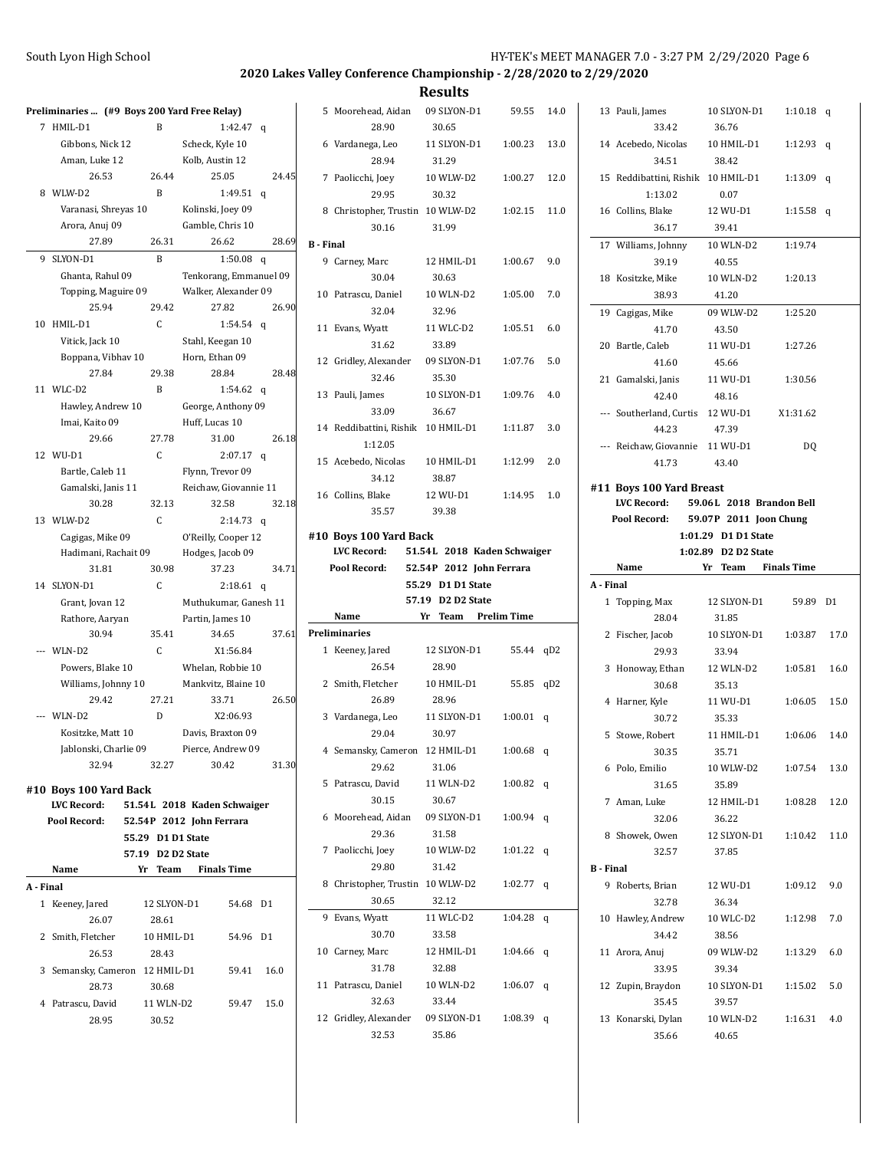|         | Preliminaries  (#9 Boys 200 Yard Free Relay) |                   |                          |                |
|---------|----------------------------------------------|-------------------|--------------------------|----------------|
| 7       | HMIL-D1                                      | B                 | 1:42.47                  | q              |
|         | Gibbons, Nick 12                             |                   | Scheck, Kyle 10          |                |
|         | Aman, Luke 12                                |                   | Kolb, Austin 12          |                |
|         | 26.53                                        | 26.44             | 25.05                    | 24.45          |
| 8       | WLW-D2                                       | B                 | 1:49.51                  | q              |
|         | Varanasi, Shreyas 10                         |                   | Kolinski, Joey 09        |                |
|         | Arora, Anuj 09                               |                   | Gamble, Chris 10         |                |
|         | 27.89                                        | 26.31             | 26.62                    | 28.69          |
| 9       | SLYON-D1                                     | B                 | 1:50.08                  | q              |
|         | Ghanta, Rahul 09                             |                   | Tenkorang, Emmanuel 09   |                |
|         | Topping, Maguire 09                          |                   | Walker, Alexander 09     |                |
|         | 25.94                                        | 29.42             | 27.82                    | 26.90          |
|         | 10 HMIL-D1                                   | C                 | 1:54.54                  | q              |
|         | Vitick, Jack 10                              |                   | Stahl, Keegan 10         |                |
|         | Boppana, Vibhav 10                           |                   | Horn, Ethan 09           |                |
|         | 27.84                                        | 29.38             | 28.84                    | 28.48          |
|         | 11 WLC-D2                                    | B                 | 1:54.62                  | q              |
|         | Hawley, Andrew 10                            |                   | George, Anthony 09       |                |
|         | Imai, Kaito 09                               |                   | Huff, Lucas 10           |                |
|         | 29.66                                        | 27.78             | 31.00                    | 26.18          |
|         | 12 WU-D1                                     | C                 | 2:07.17                  | q              |
|         | Bartle, Caleb 11                             |                   | Flynn, Trevor 09         |                |
|         | Gamalski, Janis 11                           |                   | Reichaw, Giovannie 11    |                |
|         | 30.28                                        | 32.13             | 32.58                    | 32.18          |
|         | 13 WLW-D2                                    | $\mathsf{C}$      | 2:14.73                  | q              |
|         | Cagigas, Mike 09                             |                   | O'Reilly, Cooper 12      |                |
|         | Hadimani, Rachait 09                         |                   | Hodges, Jacob 09         |                |
|         | 31.81                                        | 30.98             | 37.23                    | 34.71          |
|         | 14 SLYON-D1                                  | C                 | 2:18.61                  | q              |
|         | Grant, Jovan 12                              |                   | Muthukumar, Ganesh 11    |                |
|         | Rathore, Aaryan                              |                   | Partin, James 10         |                |
|         | 30.94                                        | 35.41             | 34.65                    | 37.61          |
|         | --- WLN-D2                                   | C                 | X1:56.84                 |                |
|         | Powers, Blake 10                             |                   | Whelan, Robbie 10        |                |
|         | Williams, Johnny 10                          |                   | Mankvitz, Blaine 10      |                |
|         | 29.42                                        | 27.21             | 33.71                    | 26.50          |
|         | WLN-D2                                       | D                 | X2:06.93                 |                |
|         | Kositzke, Matt 10                            |                   | Davis, Braxton 09        |                |
|         | Jablonski, Charlie 09                        |                   | Pierce, Andrew 09        |                |
|         | 32.94                                        | 32.27             | 30.42                    | 31.30          |
|         | #10 Boys 100 Yard Back                       |                   |                          |                |
|         | LVC Record: 51.54L 2018 Kaden Schwaiger      |                   |                          |                |
|         | Pool Record:                                 |                   | 52.54P 2012 John Ferrara |                |
|         |                                              | 55.29 D1 D1 State |                          |                |
|         |                                              | 57.19 D2 D2 State |                          |                |
|         | Name                                         |                   | Yr Team Finals Time      |                |
| A Final |                                              |                   |                          |                |
|         | 1 Keeney, Jared                              | 12 SLYON-D1       | 54.68                    | D <sub>1</sub> |
|         | 26.07                                        | 28.61             |                          |                |
|         | 2 Smith, Fletcher                            | 10 HMIL-D1        | 54.96                    | D <sub>1</sub> |
|         | 26.53                                        | 28.43             |                          |                |
|         | 3 Semansky, Cameron 12 HMIL-D1               |                   | 59.41                    | 16.0           |
|         | 28.73                                        | 30.68             |                          |                |
|         | 4 Patrascu, David                            | 11 WLN-D2         | 59.47                    | 15.0           |
|         | 28.95                                        | 30.52             |                          |                |
|         |                                              |                   |                          |                |

|                  | 5 Moorehead, Aidan<br>28.90                   | 09 SLYON-D1<br>30.65        | 59.55       | 14.0            |
|------------------|-----------------------------------------------|-----------------------------|-------------|-----------------|
|                  | 6 Vardanega, Leo                              | 11 SLYON-D1                 | 1:00.23     | 13.0            |
|                  | 28.94<br>7 Paolicchi, Joey                    | 31.29<br>10 WLW-D2          | 1:00.27     | 12.0            |
|                  | 29.95<br>8 Christopher, Trustin 10 WLW-D2     | 30.32                       | 1:02.15     | 11.0            |
| <b>B</b> - Final | 30.16                                         | 31.99                       |             |                 |
|                  |                                               |                             |             |                 |
|                  | 9 Carney, Marc<br>30.04                       | 12 HMIL-D1<br>30.63         | 1:00.67     | 9.0             |
|                  | 10 Patrascu, Daniel<br>32.04                  | 10 WLN-D2<br>32.96          | 1:05.00     | 7.0             |
|                  | 11 Evans, Wyatt                               | 11 WLC-D2                   | 1:05.51     | 6.0             |
|                  | 31.62                                         | 33.89                       |             |                 |
|                  | 12 Gridley, Alexander 09 SLYON-D1<br>32.46    | 35.30                       | 1.07.76     | 5.0             |
|                  | 13 Pauli, James                               | 10 SLYON-D1                 | 1:09.76     | 4.0             |
|                  | 33.09                                         | 36.67                       |             |                 |
|                  | 14 Reddibattini, Rishik 10 HMIL-D1<br>1:12.05 |                             | 1:11.87     | 3.0             |
|                  | 15 Acebedo, Nicolas 10 HMIL-D1<br>34.12       | 38.87                       | 1:12.99     | 2.0             |
|                  | 16 Collins, Blake                             | 12 WU-D1                    | 1:14.95     | 1.0             |
|                  | 35.57                                         | 39.38                       |             |                 |
|                  | #10 Boys 100 Yard Back                        |                             |             |                 |
|                  | LVC Record:                                   | 51.54L 2018 Kaden Schwaiger |             |                 |
|                  | Pool Record:                                  | 52.54P 2012 John Ferrara    |             |                 |
|                  |                                               | 55.29 D1 D1 State           |             |                 |
|                  |                                               |                             |             |                 |
|                  |                                               | 57.19 D2 D2 State           |             |                 |
|                  | Name                                          | Yr Team Prelim Time         |             |                 |
|                  | <b>Preliminaries</b>                          |                             |             |                 |
|                  | 1 Keeney, Jared<br>26.54                      | 12 SLYON-D1<br>28.90        | 55.44 qD2   |                 |
|                  | 2 Smith, Fletcher<br>26.89                    | 10 HMIL-D1<br>28.96         | 55.85       | qD <sub>2</sub> |
|                  | 3 Vardanega, Leo                              | 11 SLYON-D1                 | 1:00.01     | q               |
|                  | 29.04<br>4 Semansky, Cameron 12 HMIL-D1       | 30.97                       | $1:00.68$ q |                 |
|                  | 29.62                                         | 31.06                       |             |                 |
|                  | 5 Patrascu, David<br>30.15                    | 11 WLN-D2                   | 1:00.82     | q               |
|                  | 6 Moorehead, Aidan 09 SLYON-D1                | 30.67                       | 1:00.94     | q               |
|                  | 29.36                                         | 31.58                       |             |                 |
|                  | 7 Paolicchi, Joey<br>29.80                    | 10 WLW-D2<br>31.42          | 1:01.22     | q               |
|                  | 8 Christopher, Trustin 10 WLW-D2<br>30.65     | 32.12                       | 1:02.77     | q               |
|                  |                                               |                             |             |                 |
| 9                | Evans, Wyatt<br>30.70                         | 11 WLC-D2<br>33.58          | 1:04.28     | q               |
|                  | 10 Carney, Marc                               | 12 HMIL-D1                  | 1:04.66     | q               |
|                  | 31.78<br>11 Patrascu, Daniel                  | 32.88<br>10 WLN-D2          | 1:06.07     | q               |
|                  | 32.63                                         | 33.44                       |             |                 |
|                  | 12 Gridley, Alexander 09 SLYON-D1<br>32.53    | 35.86                       | 1:08.39     | q               |

| 59.55       | 14.0            |                  | 13 Pauli, James                    | 10 SLYON-D1              | 1:10.18 $q$        |                |
|-------------|-----------------|------------------|------------------------------------|--------------------------|--------------------|----------------|
| 1:00.23     | 13.0            |                  | 33.42<br>14 Acebedo, Nicolas       | 36.76<br>10 HMIL-D1      | 1:12.93            | q              |
|             |                 |                  | 34.51                              | 38.42                    |                    |                |
| 1:00.27     | 12.0            |                  | 15 Reddibattini, Rishik 10 HMIL-D1 |                          | 1:13.09 $q$        |                |
|             |                 |                  | 1:13.02                            | 0.07                     |                    |                |
| 1:02.15     | 11.0            |                  | 16 Collins, Blake                  | 12 WU-D1                 | 1:15.58 $q$        |                |
|             |                 |                  | 36.17                              | 39.41<br>10 WLN-D2       | 1:19.74            |                |
| 1:00.67     | 9.0             |                  | 17 Williams, Johnny<br>39.19       | 40.55                    |                    |                |
|             |                 |                  | 18 Kositzke, Mike                  | 10 WLN-D2                | 1:20.13            |                |
| 1:05.00     | 7.0             |                  | 38.93                              | 41.20                    |                    |                |
|             |                 |                  | 19 Cagigas, Mike                   | 09 WLW-D2                | 1:25.20            |                |
| 1:05.51     | 6.0             |                  | 41.70                              | 43.50                    |                    |                |
|             |                 |                  | 20 Bartle, Caleb                   | 11 WU-D1                 | 1:27.26            |                |
| 1:07.76     | 5.0             |                  | 41.60                              | 45.66                    |                    |                |
|             |                 |                  | 21 Gamalski, Janis                 | 11 WU-D1                 | 1:30.56            |                |
| 1:09.76     | 4.0             |                  | 42.40                              | 48.16                    |                    |                |
|             |                 |                  | --- Southerland, Curtis 12 WU-D1   |                          | X1:31.62           |                |
| 1:11.87     | 3.0             |                  | 44.23                              | 47.39                    |                    |                |
|             |                 |                  | --- Reichaw, Giovannie 11 WU-D1    |                          | DQ                 |                |
| 1:12.99     | 2.0             |                  | 41.73                              | 43.40                    |                    |                |
| 1:14.95     | 1.0             |                  | #11 Boys 100 Yard Breast           |                          |                    |                |
|             |                 |                  | LVC Record:                        | 59.06L 2018 Brandon Bell |                    |                |
|             |                 |                  | Pool Record:                       | 59.07P 2011 Joon Chung   |                    |                |
|             |                 |                  |                                    | 1:01.29 D1 D1 State      |                    |                |
|             |                 |                  |                                    |                          |                    |                |
| Schwaiger   |                 |                  |                                    | 1:02.89 D2 D2 State      |                    |                |
| errara      |                 |                  | Name                               | Yr<br>Team               | <b>Finals Time</b> |                |
|             |                 | A - Final        |                                    |                          | 59.89              | D <sub>1</sub> |
| n Time      |                 |                  | 1 Topping, Max<br>28.04            | 12 SLYON-D1<br>31.85     |                    |                |
|             |                 |                  | 2 Fischer, Jacob                   | 10 SLYON-D1              | 1:03.87            | 17.0           |
| 55.44       | qD <sub>2</sub> |                  | 29.93                              | 33.94                    |                    |                |
|             |                 |                  | 3 Honoway, Ethan                   | 12 WLN-D2                | 1:05.81            | 16.0           |
| 55.85       | qD2             |                  | 30.68                              | 35.13                    |                    |                |
|             |                 |                  | 4 Harner, Kyle                     | 11 WU-D1                 | 1:06.05            | 15.0           |
| 1:00.01     | q               |                  | 30.72                              | 35.33                    |                    |                |
|             |                 |                  | 5 Stowe, Robert                    | 11 HMIL-D1               | 1:06.06            | 14.0           |
| $1:00.68$ q |                 |                  | 30.35                              | 35.71                    |                    |                |
|             |                 |                  | 6 Polo, Emilio                     | 10 WLW-D2                | 1:07.54            | 13.0           |
| 1:00.82     | q               |                  | 31.65                              | 35.89                    |                    |                |
| 1:00.94     | q               |                  | 7 Aman, Luke                       | 12 HMIL-D1               | 1:08.28            | 12.0           |
|             |                 |                  | 32.06<br>8 Showek, Owen            | 36.22<br>12 SLYON-D1     | 1:10.42            | 11.0           |
| 1:01.22     | q               |                  | 32.57                              | 37.85                    |                    |                |
|             |                 | <b>B</b> - Final |                                    |                          |                    |                |
| 1:02.77     | q               |                  | 9 Roberts, Brian                   | 12 WU-D1                 | 1:09.12            | 9.0            |
|             |                 |                  | 32.78                              | 36.34                    |                    |                |
| 1:04.28     | q               |                  | 10 Hawley, Andrew                  | 10 WLC-D2                | 1:12.98            | 7.0            |
|             |                 |                  | 34.42                              | 38.56                    |                    |                |
| 1:04.66     | q               |                  | 11 Arora, Anuj                     | 09 WLW-D2                | 1:13.29            | 6.0            |
|             |                 |                  | 33.95                              | 39.34                    |                    |                |
| 1:06.07     | q               |                  | 12 Zupin, Braydon                  | 10 SLYON-D1              | 1:15.02            | 5.0            |
|             |                 |                  | 35.45                              | 39.57                    |                    |                |
| 1:08.39     | q               |                  | 13 Konarski, Dylan<br>35.66        | 10 WLN-D2<br>40.65       | 1:16.31            | 4.0            |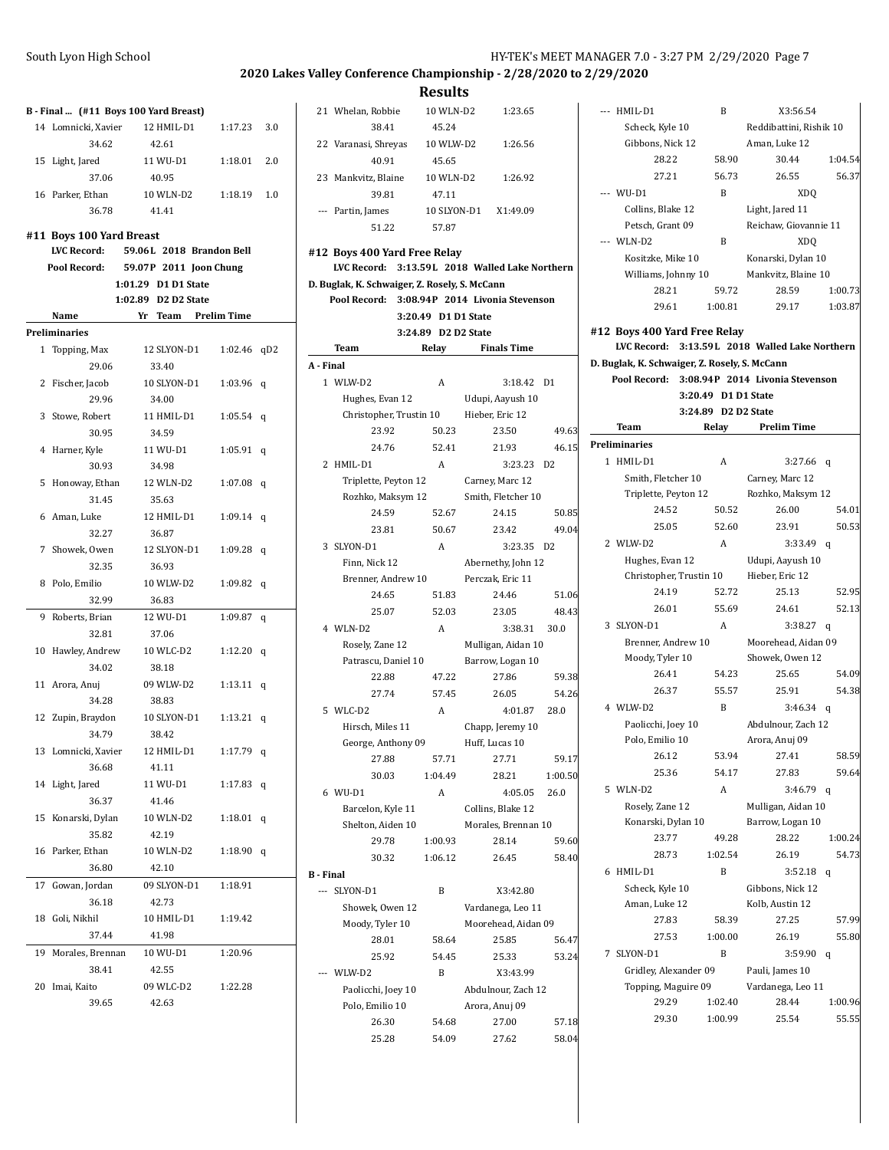| South Lyon High School | HY-TEK's MEET MANAGER 7.0 - 3:27 PM 2/29/2020 Page 7 |
|------------------------|------------------------------------------------------|
|                        |                                                      |

| B - Final  (#11 Boys 100 Yard Breast) |                                                |  |                     |                          |     |
|---------------------------------------|------------------------------------------------|--|---------------------|--------------------------|-----|
|                                       | 14 Lomnicki, Xavier                            |  | 12 HMIL-D1          | 1:17.23                  | 3.0 |
|                                       | 34.62                                          |  | 42.61               |                          |     |
|                                       | 15 Light, Jared                                |  | 11 WU-D1            | 1:18.01                  | 2.0 |
|                                       | 37.06                                          |  | 40.95               |                          |     |
|                                       | 16 Parker, Ethan                               |  | 10 WLN-D2           | 1:18.19                  | 1.0 |
|                                       | 36.78                                          |  | 41.41               |                          |     |
|                                       |                                                |  |                     |                          |     |
|                                       | #11 Boys 100 Yard Breast<br><b>LVC Record:</b> |  |                     | 59.06L 2018 Brandon Bell |     |
|                                       | Pool Record:                                   |  |                     | 59.07P 2011 Joon Chung   |     |
|                                       |                                                |  | 1:01.29 D1 D1 State |                          |     |
|                                       |                                                |  | 1:02.89 D2 D2 State |                          |     |
|                                       | Name                                           |  |                     | Yr Team Prelim Time      |     |
|                                       | Preliminaries                                  |  |                     |                          |     |
|                                       | 1 Topping, Max                                 |  | 12 SLYON-D1         | 1:02.46                  | qD2 |
|                                       | 29.06                                          |  | 33.40               |                          |     |
|                                       | 2 Fischer, Jacob                               |  | 10 SLYON-D1         | 1:03.96                  | q   |
|                                       | 29.96                                          |  | 34.00               |                          |     |
|                                       | 3 Stowe, Robert                                |  | 11 HMIL-D1          | 1:05.54                  | q   |
|                                       | 30.95                                          |  | 34.59               |                          |     |
|                                       | 4 Harner, Kyle                                 |  | 11 WU-D1            | 1:05.91                  | q   |
|                                       | 30.93                                          |  | 34.98               |                          |     |
| 5                                     | Honoway, Ethan                                 |  | 12 WLN-D2           | 1:07.08                  | q   |
|                                       | 31.45                                          |  | 35.63               |                          |     |
|                                       | 6 Aman, Luke                                   |  | 12 HMIL-D1          | 1:09.14                  | q   |
|                                       | 32.27                                          |  | 36.87               |                          |     |
|                                       | 7 Showek, Owen                                 |  | 12 SLYON-D1         | 1:09.28                  | q   |
|                                       | 32.35                                          |  | 36.93               |                          |     |
|                                       | 8 Polo, Emilio                                 |  | 10 WLW-D2           | 1:09.82                  | q   |
|                                       | 32.99                                          |  | 36.83               |                          |     |
|                                       | 9 Roberts, Brian                               |  | 12 WU-D1            | 1:09.87                  | q   |
|                                       | 32.81                                          |  | 37.06               |                          |     |
|                                       | 10 Hawley, Andrew                              |  | 10 WLC-D2           | 1:12.20                  | q   |
|                                       | 34.02                                          |  | 38.18               |                          |     |
|                                       | 11 Arora, Anuj                                 |  | 09 WLW-D2           | 1:13.11                  | q   |
|                                       | 34.28                                          |  | 38.83               |                          |     |
|                                       | 12 Zupin, Braydon                              |  | 10 SLYON-D1         | 1:13.21                  | q   |
|                                       | 34.79                                          |  | 38.42               |                          |     |
|                                       | 13 Lomnicki, Xavier                            |  | 12 HMIL-D1          | 1:17.79 q                |     |
|                                       | 36.68                                          |  | 41.11               |                          |     |
|                                       | 14 Light, Jared 11 WU-D1                       |  |                     | 1:17.83 q                |     |
|                                       | 36.37                                          |  | 41.46               |                          |     |
|                                       | 15 Konarski, Dylan 10 WLN-D2 1:18.01 q         |  |                     |                          |     |
|                                       | 35.82                                          |  | 42.19               |                          |     |
|                                       | 16 Parker, Ethan                               |  |                     | 10 WLN-D2   1:18.90   q  |     |
|                                       | 36.80                                          |  | 42.10               |                          |     |
|                                       | 17 Gowan, Jordan                               |  |                     | 09 SLYON-D1 1:18.91      |     |
|                                       | 36.18                                          |  | 42.73               |                          |     |
|                                       | 18 Goli, Nikhil                                |  |                     | 10 HMIL-D1 1:19.42       |     |
|                                       | 37.44                                          |  | 41.98               |                          |     |
|                                       | 19 Morales, Brennan 10 WU-D1                   |  |                     | 1:20.96                  |     |
|                                       | 38.41                                          |  | 42.55               |                          |     |
|                                       | 20 Imai, Kaito                                 |  |                     | 09 WLC-D2 1:22.28        |     |
|                                       | 39.65                                          |  | 42.63               |                          |     |
|                                       |                                                |  |                     |                          |     |

|                  |                                                                                | …ww                 |                      |                |
|------------------|--------------------------------------------------------------------------------|---------------------|----------------------|----------------|
|                  | 21 Whelan, Robbie                                                              | 10 WLN-D2           | 1:23.65              |                |
|                  | 38.41                                                                          | 45.24               |                      |                |
|                  | 22 Varanasi, Shreyas                                                           | 10 WLW-D2           | 1:26.56              |                |
|                  | 40.91                                                                          | 45.65               |                      |                |
|                  | 23 Mankvitz, Blaine                                                            | 10 WLN-D2           | 1:26.92              |                |
|                  | 39.81                                                                          | 47.11               |                      |                |
|                  | --- Partin, James                                                              |                     | 10 SLYON-D1 X1:49.09 |                |
|                  | 51.22                                                                          | 57.87               |                      |                |
|                  |                                                                                |                     |                      |                |
|                  | #12 Boys 400 Yard Free Relay<br>LVC Record: 3:13.59L 2018 Walled Lake Northern |                     |                      |                |
|                  |                                                                                |                     |                      |                |
|                  | D. Buglak, K. Schwaiger, Z. Rosely, S. McCann                                  |                     |                      |                |
|                  | Pool Record: 3:08.94P 2014 Livonia Stevenson                                   |                     |                      |                |
|                  |                                                                                | 3:20.49 D1 D1 State |                      |                |
|                  |                                                                                | 3:24.89 D2 D2 State | <b>Finals Time</b>   |                |
|                  | Team                                                                           | Relay               |                      |                |
| A - Final        |                                                                                |                     |                      |                |
|                  | 1 WLW-D2                                                                       | A                   | 3:18.42              | D <sub>1</sub> |
|                  | Hughes, Evan 12                                                                |                     | Udupi, Aayush 10     |                |
|                  | Christopher, Trustin 10                                                        |                     | Hieber, Eric 12      |                |
|                  | 23.92                                                                          | 50.23               | 23.50                | 49.63          |
|                  | 24.76                                                                          | 52.41               | 21.93                | 46.15          |
|                  | 2 HMIL-D1                                                                      | A                   | 3:23.23              | D <sub>2</sub> |
|                  | Triplette, Peyton 12                                                           |                     | Carney, Marc 12      |                |
|                  | Rozhko, Maksym 12                                                              |                     | Smith, Fletcher 10   |                |
|                  | 24.59                                                                          | 52.67               | 24.15                | 50.85          |
|                  | 23.81                                                                          | 50.67               | 23.42                | 49.04          |
|                  | 3 SLYON-D1                                                                     | A                   | 3:23.35 D2           |                |
|                  | Finn, Nick 12                                                                  |                     | Abernethy, John 12   |                |
|                  | Brenner, Andrew 10                                                             |                     | Perczak, Eric 11     |                |
|                  | 24.65                                                                          | 51.83               | 24.46                | 51.06          |
|                  | 25.07                                                                          | 52.03               | 23.05                | 48.43          |
|                  | 4 WLN-D2                                                                       | A                   | 3:38.31              | 30.0           |
|                  | Rosely, Zane 12                                                                |                     | Mulligan, Aidan 10   |                |
|                  | Patrascu, Daniel 10                                                            |                     | Barrow, Logan 10     |                |
|                  | 22.88                                                                          | 47.22               | 27.86                | 59.38          |
|                  | 27.74                                                                          | 57.45               | 26.05                | 54.26          |
|                  | 5 WLC-D2                                                                       | A                   | 4:01.87              | 28.0           |
|                  | Hirsch, Miles 11                                                               |                     | Chapp, Jeremy 10     |                |
|                  | George, Anthony 09                                                             |                     | Huff, Lucas 10       |                |
|                  | 27.88                                                                          | 57.71               | 27.71                | 59.17          |
|                  | 30.03                                                                          | 1:04.49             | 28.21                | 1:00.50        |
|                  | 6 WU-D1                                                                        | A                   | 4:05.05              | 26.0           |
|                  | Barcelon, Kyle 11                                                              |                     | Collins, Blake 12    |                |
|                  | Shelton, Aiden 10                                                              |                     | Morales, Brennan 10  |                |
|                  | 29.78                                                                          | 1:00.93             | 28.14                | 59.60          |
|                  | 30.32                                                                          | 1:06.12             | 26.45                | 58.40          |
| <b>B</b> - Final |                                                                                |                     |                      |                |
|                  | --- SLYON-D1                                                                   | B                   | X3:42.80             |                |
|                  | Showek, Owen 12                                                                |                     | Vardanega, Leo 11    |                |
|                  | Moody, Tyler 10                                                                |                     | Moorehead, Aidan 09  |                |
|                  | 28.01                                                                          | 58.64               | 25.85                | 56.47          |
|                  | 25.92                                                                          | 54.45               | 25.33                | 53.24          |
|                  | --- WLW-D2                                                                     | B                   | X3:43.99             |                |
|                  | Paolicchi, Joey 10                                                             |                     | Abdulnour, Zach 12   |                |
|                  | Polo, Emilio 10                                                                |                     | Arora, Anuj 09       |                |
|                  | 26.30                                                                          | 54.68               | 27.00                | 57.18          |
|                  | 25.28                                                                          | 54.09               | 27.62                | 58.04          |

|              | --- HMIL-D1                                   | B                   | X3:56.54                                       |         |
|--------------|-----------------------------------------------|---------------------|------------------------------------------------|---------|
|              | Scheck, Kyle 10                               |                     | Reddibattini, Rishik 10                        |         |
|              | Gibbons, Nick 12                              |                     | Aman, Luke 12                                  |         |
|              | 28.22                                         | 58.90               | 30.44                                          | 1:04.54 |
|              | 27.21                                         | 56.73               | 26.55                                          | 56.37   |
|              | --- WU-D1                                     | B                   | XDQ                                            |         |
|              | Collins, Blake 12                             |                     | Light, Jared 11                                |         |
|              | Petsch, Grant 09                              |                     | Reichaw, Giovannie 11                          |         |
|              | --- WLN-D2                                    | B                   | <b>XDQ</b>                                     |         |
|              | Kositzke, Mike 10                             |                     | Konarski, Dylan 10                             |         |
|              | Williams, Johnny 10                           |                     | Mankvitz, Blaine 10                            |         |
|              | 28.21                                         | 59.72               | 28.59                                          | 1:00.73 |
|              | 29.61                                         | 1:00.81             | 29.17                                          | 1:03.87 |
|              |                                               |                     |                                                |         |
|              | #12 Boys 400 Yard Free Relay                  |                     |                                                |         |
|              |                                               |                     | LVC Record: 3:13.59L 2018 Walled Lake Northern |         |
|              | D. Buglak, K. Schwaiger, Z. Rosely, S. McCann |                     |                                                |         |
|              | Pool Record:                                  |                     | 3:08.94P 2014 Livonia Stevenson                |         |
|              |                                               | 3:20.49 D1 D1 State |                                                |         |
|              |                                               | 3:24.89 D2 D2 State |                                                |         |
|              | Team                                          | Relay               | <b>Prelim Time</b>                             |         |
|              | Preliminaries                                 |                     |                                                |         |
| $\mathbf{1}$ | HMIL-D1                                       | A                   | 3:27.66                                        | q       |
|              | Smith, Fletcher 10                            |                     | Carney, Marc 12                                |         |
|              | Triplette, Peyton 12                          |                     | Rozhko, Maksym 12                              |         |
|              | 24.52                                         | 50.52               | 26.00                                          | 54.01   |
|              | 25.05                                         | 52.60               | 23.91                                          | 50.53   |
|              | 2 WLW-D2                                      | A                   | 3:33.49                                        | q       |
|              | Hughes, Evan 12                               |                     | Udupi, Aayush 10                               |         |
|              |                                               |                     | Christopher, Trustin 10 Hieber, Eric 12        |         |
|              | 24.19                                         | 52.72               | 25.13                                          | 52.95   |
|              | 26.01                                         | 55.69               | 24.61                                          | 52.13   |
|              | 3 SLYON-D1                                    | A                   | 3:38.27                                        | q       |
|              | Brenner, Andrew 10                            |                     | Moorehead, Aidan 09                            |         |
|              | Moody, Tyler 10                               |                     | Showek, Owen 12                                |         |
|              | 26.41                                         | 54.23               | 25.65                                          | 54.09   |
|              | 26.37                                         | 55.57               | 25.91                                          | 54.38   |
|              | 4 WLW-D2                                      | B                   | $3:46.34$ q                                    |         |
|              | Paolicchi, Joey 10                            |                     | Abdulnour, Zach 12                             |         |
|              | Polo, Emilio 10                               |                     | Arora, Anuj 09                                 |         |
|              | 26.12                                         | 53.94               | 27.41                                          | 58.59   |
|              | 25.36                                         | 54.17               | 27.83                                          | 59.64   |
| 5            | WLN-D2                                        | A                   | 3:46.79                                        | q       |
|              | Rosely, Zane 12                               |                     | Mulligan, Aidan 10                             |         |
|              | Konarski, Dylan 10                            |                     | Barrow, Logan 10                               |         |
|              | 23.77                                         | 49.28               | 28.22                                          | 1:00.24 |
|              | 28.73                                         | 1:02.54             | 26.19                                          | 54.73   |
| 6            | HMIL-D1                                       | B                   | 3:52.18                                        | q       |
|              | Scheck, Kyle 10                               |                     | Gibbons, Nick 12                               |         |
|              | Aman, Luke 12                                 |                     | Kolb, Austin 12                                |         |
|              | 27.83                                         | 58.39               | 27.25                                          | 57.99   |
|              | 27.53                                         | 1:00.00             | 26.19                                          | 55.80   |
| 7            | SLYON-D1                                      | B                   | 3:59.90                                        | q       |
|              | Gridley, Alexander 09                         |                     | Pauli, James 10                                |         |
|              | Topping, Maguire 09                           |                     | Vardanega, Leo 11                              |         |
|              | 29.29                                         | 1:02.40             | 28.44                                          | 1:00.96 |
|              |                                               |                     |                                                | 55.55   |
|              | 29.30                                         | 1:00.99             | 25.54                                          |         |